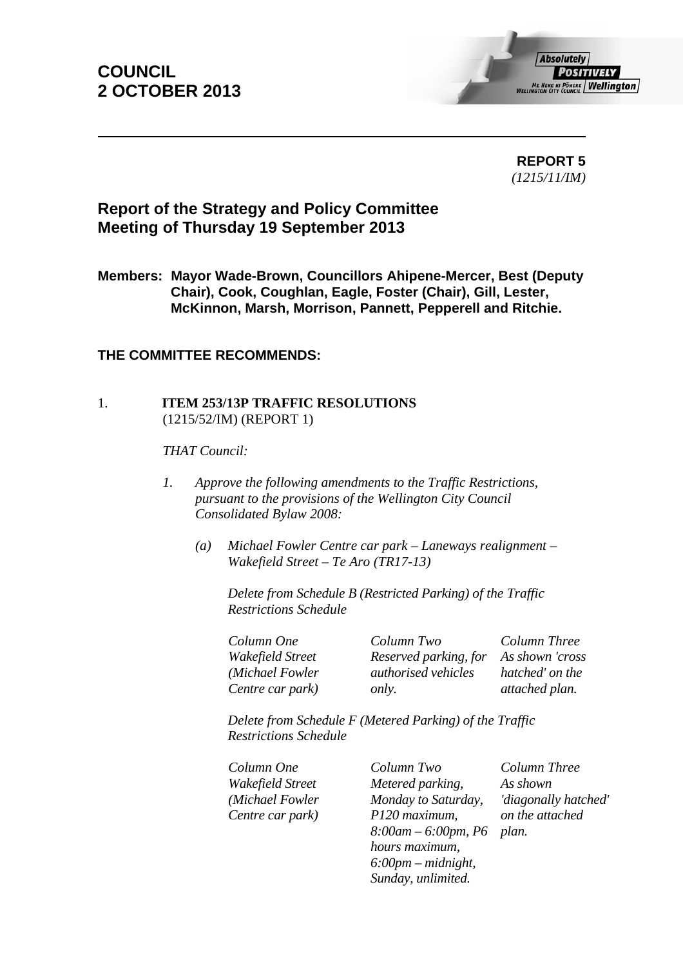# **COUNCIL 2 OCTOBER 2013**



 **REPORT 5**  *(1215/11/IM)* 

# **Report of the Strategy and Policy Committee Meeting of Thursday 19 September 2013**

**Members: Mayor Wade-Brown, Councillors Ahipene-Mercer, Best (Deputy Chair), Cook, Coughlan, Eagle, Foster (Chair), Gill, Lester, McKinnon, Marsh, Morrison, Pannett, Pepperell and Ritchie.** 

# **THE COMMITTEE RECOMMENDS:**

## 1. **ITEM 253/13P TRAFFIC RESOLUTIONS** (1215/52/IM) (REPORT 1)

*THAT Council:* 

- *1. Approve the following amendments to the Traffic Restrictions, pursuant to the provisions of the Wellington City Council Consolidated Bylaw 2008:*
	- *(a) Michael Fowler Centre car park Laneways realignment Wakefield Street – Te Aro (TR17-13)*

*Delete from Schedule B (Restricted Parking) of the Traffic Restrictions Schedule* 

| Column One       | Column Two                 | Column Three    |
|------------------|----------------------------|-----------------|
| Wakefield Street | Reserved parking, for      | As shown 'cross |
| (Michael Fowler  | <i>authorised vehicles</i> | hatched' on the |
| Centre car park) | <i>only.</i>               | attached plan.  |

*Reserved parking, for authorised vehicles As shown 'cross hatched' on the attached plan.* 

*Delete from Schedule F (Metered Parking) of the Traffic Restrictions Schedule* 

*Column One Column Two Column Three Wakefield Street (Michael Fowler Centre car park)*

*Metered parking, Monday to Saturday, P120 maximum, 8:00am – 6:00pm, P6 hours maximum, 6:00pm – midnight, Sunday, unlimited.*

*As shown 'diagonally hatched' on the attached plan.*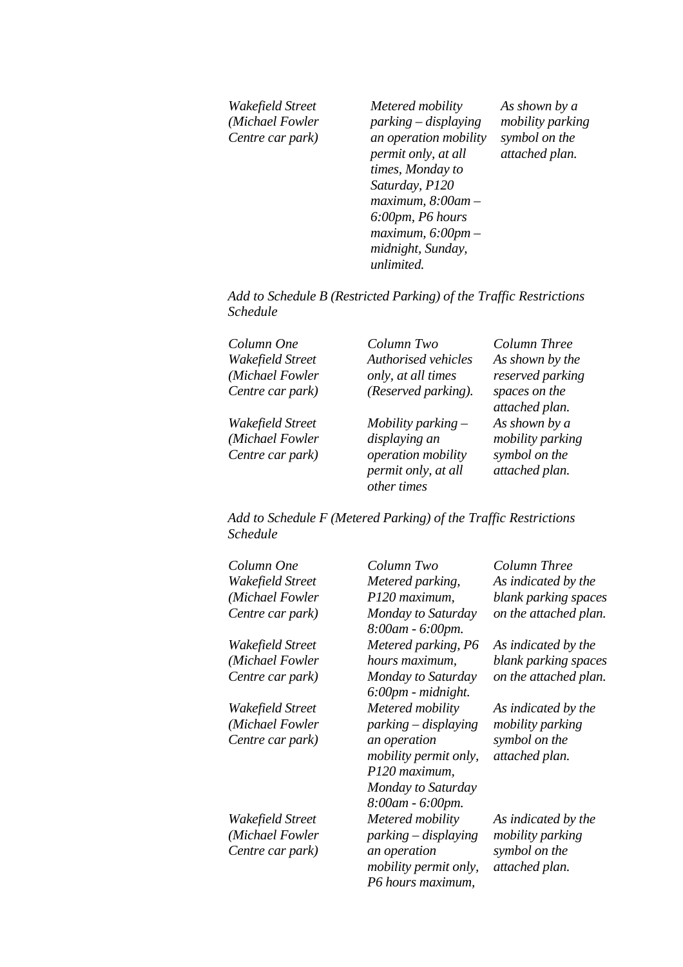*Wakefield Street (Michael Fowler Centre car park) Metered mobility parking – displaying an operation mobility permit only, at all times, Monday to Saturday, P120 maximum, 8:00am – 6:00pm, P6 hours maximum, 6:00pm – midnight, Sunday, unlimited.*

*As shown by a mobility parking symbol on the attached plan.* 

*Add to Schedule B (Restricted Parking) of the Traffic Restrictions Schedule* 

| Column One       | Column Two           | Column Three                    |
|------------------|----------------------|---------------------------------|
| Wakefield Street | Authorised vehicles  | As shown by the                 |
| (Michael Fowler  | only, at all times   | reserved parking                |
| Centre car park) | (Reserved parking).  | spaces on the<br>attached plan. |
| Wakefield Street | Mobility parking $-$ | As shown by a                   |
| (Michael Fowler  | displaying an        | mobility parking                |
| Centre car park) | operation mobility   | symbol on the                   |
|                  | permit only, at all  | attached plan.                  |
|                  | other times          |                                 |

*Add to Schedule F (Metered Parking) of the Traffic Restrictions Schedule* 

| Column One                          | Column Two                                                                          | Column Three                            |
|-------------------------------------|-------------------------------------------------------------------------------------|-----------------------------------------|
| Wakefield Street                    | Metered parking,                                                                    | As indicated by the                     |
| (Michael Fowler                     | P120 maximum,                                                                       | blank parking spaces                    |
| Centre car park)                    | Monday to Saturday<br>8:00am - 6:00pm.                                              | on the attached plan.                   |
| Wakefield Street                    | Metered parking, P6                                                                 | As indicated by the                     |
| (Michael Fowler                     | hours maximum,                                                                      | blank parking spaces                    |
| Centre car park)                    | Monday to Saturday<br>$6:00$ pm - midnight.                                         | on the attached plan.                   |
| Wakefield Street                    | Metered mobility                                                                    | As indicated by the                     |
| (Michael Fowler                     | $parking-displaying$                                                                | mobility parking                        |
| Centre car park)                    | an operation<br><i>mobility permit only,</i><br>P120 maximum,<br>Monday to Saturday | symbol on the<br>attached plan.         |
|                                     | 8:00am - 6:00pm.                                                                    |                                         |
| Wakefield Street<br>(Michael Fowler | Metered mobility<br>$parking-displaying$                                            | As indicated by the<br>mobility parking |
| Centre car park)                    | an operation<br><i>mobility permit only,</i><br>P6 hours maximum,                   | symbol on the<br>attached plan.         |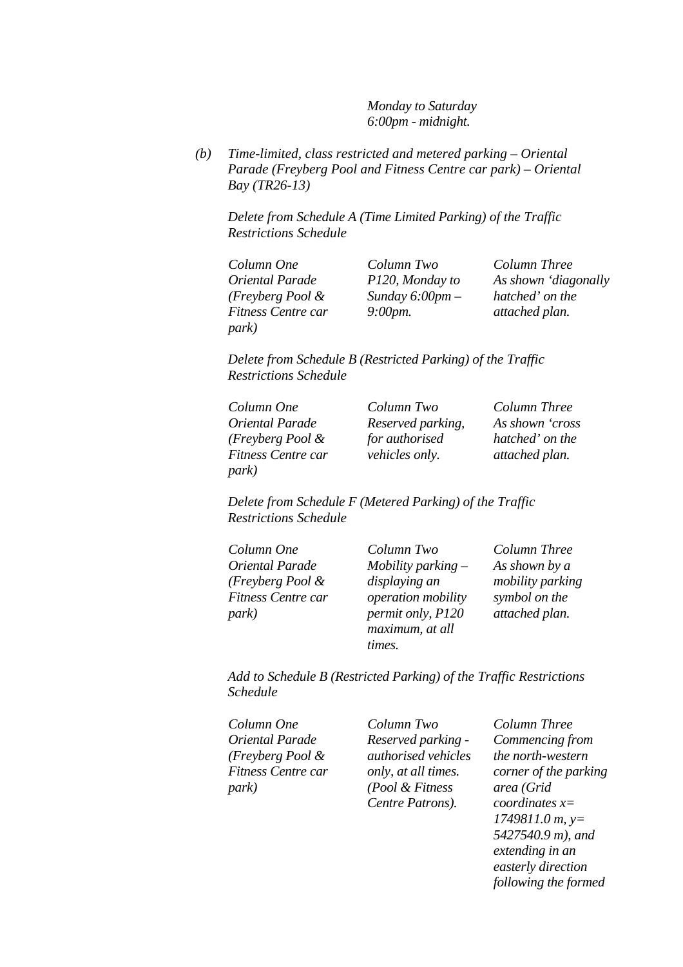*Monday to Saturday 6:00pm - midnight.*

*(b) Time-limited, class restricted and metered parking – Oriental Parade (Freyberg Pool and Fitness Centre car park) – Oriental Bay (TR26-13)* 

*Delete from Schedule A (Time Limited Parking) of the Traffic Restrictions Schedule* 

| Column One         | Column Two        | Column Three         |
|--------------------|-------------------|----------------------|
| Oriental Parade    | P120, Monday to   | As shown 'diagonally |
| (Freyberg Pool &   | Sunday $6:00pm-$  | hatched' on the      |
| Fitness Centre car | $9:00$ <i>pm.</i> | attached plan.       |
| park)              |                   |                      |

*Delete from Schedule B (Restricted Parking) of the Traffic Restrictions Schedule* 

| Column One          | Column Two            | Column Three    |
|---------------------|-----------------------|-----------------|
| Oriental Parade     | Reserved parking,     | As shown 'cross |
| $(Freyberg Pool \&$ | for authorised        | hatched' on the |
| Fitness Centre car  | <i>vehicles only.</i> | attached plan.  |
| park)               |                       |                 |

*Delete from Schedule F (Metered Parking) of the Traffic Restrictions Schedule* 

| Column One          | Column Two           | Column Three     |
|---------------------|----------------------|------------------|
| Oriental Parade     | Mobility parking $-$ | As shown by a    |
| (Freyberg Pool $\&$ | displaying an        | mobility parking |
| Fitness Centre car  | operation mobility   | symbol on the    |
| <i>park</i> )       | permit only, P120    | attached plan.   |
|                     | maximum, at all      |                  |
|                     | times.               |                  |

*Add to Schedule B (Restricted Parking) of the Traffic Restrictions Schedule* 

| Column One          | Column Two                 | Column Three            |
|---------------------|----------------------------|-------------------------|
| Oriental Parade     | Reserved parking -         | Commencing from         |
| (Freyberg Pool $\&$ | <i>authorised vehicles</i> | the north-western       |
| Fitness Centre car  | only, at all times.        | corner of the parking   |
| <i>park</i> )       | (Pool & Fitness            | area (Grid              |
|                     | Centre Patrons).           | <i>coordinates</i> $x=$ |

*1749811.0 m, y= 5427540.9 m), and extending in an easterly direction following the formed*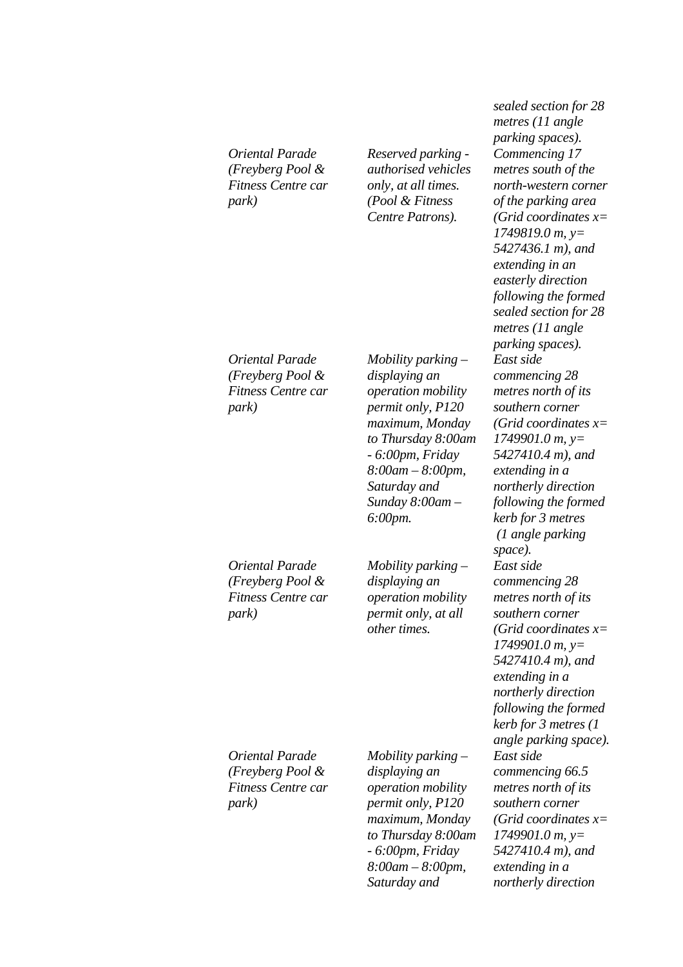*Oriental Parade (Freyberg Pool & Fitness Centre car park)*

*Reserved parking authorised vehicles only, at all times. (Pool & Fitness Centre Patrons).*

*Oriental Parade (Freyberg Pool & Fitness Centre car park)*

*Mobility parking – displaying an operation mobility permit only, P120 maximum, Monday to Thursday 8:00am - 6:00pm, Friday 8:00am – 8:00pm, Saturday and Sunday 8:00am – 6:00pm.*

*Mobility parking – displaying an operation mobility permit only, at all other times.*

*parking spaces). Commencing 17 metres south of the north-western corner of the parking area (Grid coordinates x= 1749819.0 m, y= 5427436.1 m), and extending in an easterly direction following the formed sealed section for 28 metres (11 angle parking spaces). East side commencing 28 metres north of its southern corner (Grid coordinates x= 1749901.0 m, y= 5427410.4 m), and extending in a northerly direction following the formed kerb for 3 metres (1 angle parking space). East side commencing 28 metres north of its southern corner (Grid coordinates x= 1749901.0 m, y= 5427410.4 m), and extending in a northerly direction following the formed kerb for 3 metres (1 angle parking space). East side commencing 66.5 metres north of its southern corner (Grid coordinates x= 1749901.0 m, y= 5427410.4 m), and extending in a northerly direction* 

*sealed section for 28 metres (11 angle* 

*Oriental Parade (Freyberg Pool & Fitness Centre car park)*

*Oriental Parade (Freyberg Pool & Fitness Centre car park)*

*Mobility parking – displaying an operation mobility permit only, P120 maximum, Monday to Thursday 8:00am - 6:00pm, Friday 8:00am – 8:00pm, Saturday and*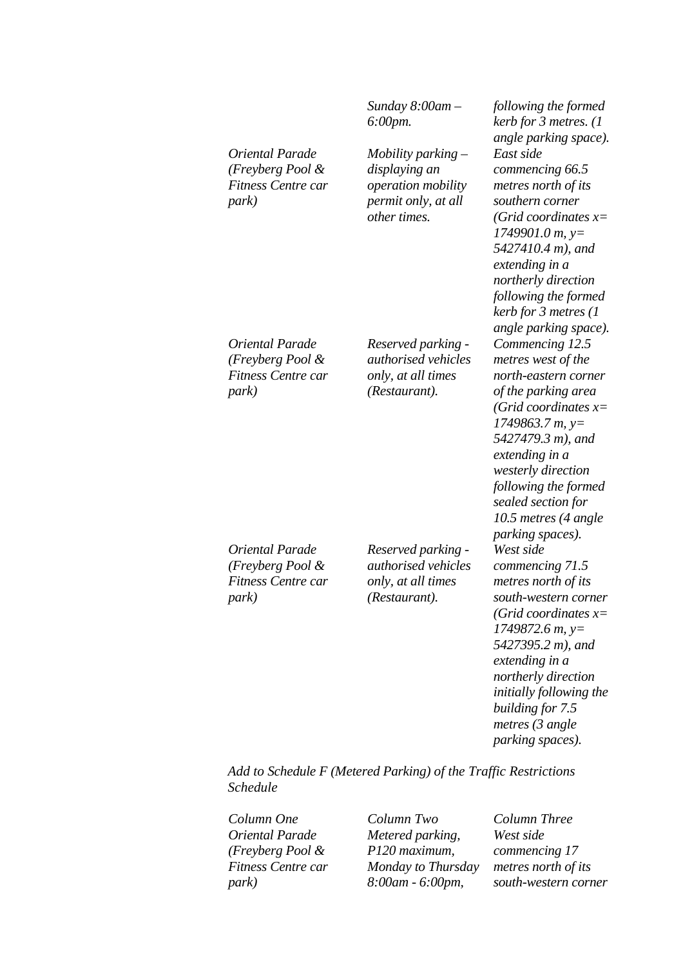|                                                                           | Sunday $8:00$ am $-$<br>6:00pm.                                                                    | following the formed<br>kerb for 3 metres. (1<br>angle parking space).                                                                                                                                                                                                                                                      |
|---------------------------------------------------------------------------|----------------------------------------------------------------------------------------------------|-----------------------------------------------------------------------------------------------------------------------------------------------------------------------------------------------------------------------------------------------------------------------------------------------------------------------------|
| Oriental Parade<br>(Freyberg Pool &<br><b>Fitness Centre car</b><br>park) | Mobility parking $-$<br>displaying an<br>operation mobility<br>permit only, at all<br>other times. | East side<br>commencing 66.5<br>metres north of its<br>southern corner<br>(Grid coordinates $x=$<br>$1749901.0 m$ , y=<br>5427410.4 m), and<br>extending in a<br>northerly direction<br>following the formed<br>kerb for 3 metres (1                                                                                        |
| Oriental Parade<br>(Freyberg Pool &<br><b>Fitness Centre car</b><br>park) | Reserved parking -<br>authorised vehicles<br>only, at all times<br>(Restaurant).                   | angle parking space).<br>Commencing 12.5<br>metres west of the<br>north-eastern corner<br>of the parking area<br>(Grid coordinates $x=$<br>$1749863.7 m$ , y=<br>5427479.3 m), and<br>extending in a<br>westerly direction<br>following the formed<br>sealed section for<br>10.5 metres (4 angle<br><i>parking spaces).</i> |
| Oriental Parade<br>(Freyberg Pool &<br><b>Fitness Centre car</b><br>park) | Reserved parking -<br>authorised vehicles<br>only, at all times<br>(Restaurant).                   | West side<br>commencing 71.5<br>metres north of its<br>south-western corner<br>(Grid coordinates $x=$<br>$1749872.6 m$ , y=<br>5427395.2 m), and<br>extending in a<br>northerly direction<br>initially following the<br>building for 7.5<br>metres $(3 \nangle)$<br>parking spaces).                                        |

*Add to Schedule F (Metered Parking) of the Traffic Restrictions Schedule* 

*Oriental Parade (Freyberg Pool & Fitness Centre car park)*

*Column One Column Two Column Three Metered parking, P120 maximum, Monday to Thursday 8:00am - 6:00pm,* 

*West side commencing 17 metres north of its south-western corner*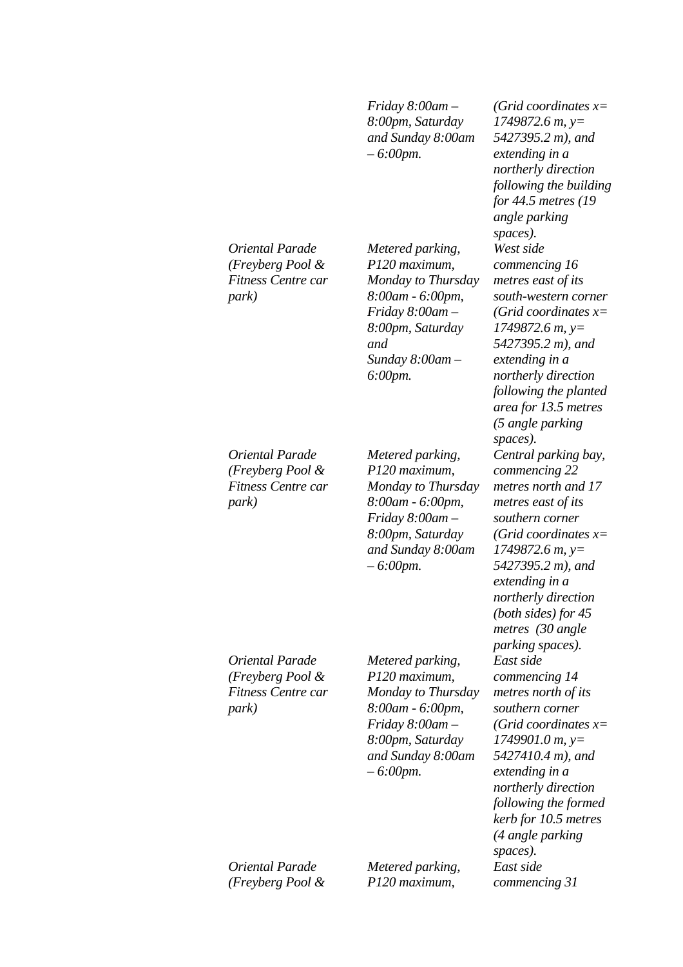*Friday 8:00am – 8:00pm, Saturday and Sunday 8:00am – 6:00pm.*

*Metered parking, P120 maximum, Monday to Thursday 8:00am - 6:00pm, Friday 8:00am – 8:00pm, Saturday* 

*Sunday 8:00am –* 

*and* 

*6:00pm.*

*Oriental Parade (Freyberg Pool & Fitness Centre car park)*

*Oriental Parade (Freyberg Pool & Fitness Centre car park)*

*Metered parking, P120 maximum, Monday to Thursday 8:00am - 6:00pm, Friday 8:00am – 8:00pm, Saturday and Sunday 8:00am – 6:00pm.*

*Oriental Parade (Freyberg Pool & Fitness Centre car park)*

*Metered parking, P120 maximum, Monday to Thursday 8:00am - 6:00pm, Friday 8:00am – 8:00pm, Saturday and Sunday 8:00am – 6:00pm.*

*(Grid coordinates x= 1749872.6 m, y= 5427395.2 m), and extending in a northerly direction following the building for 44.5 metres (19 angle parking spaces). West side commencing 16 metres east of its south-western corner (Grid coordinates x= 1749872.6 m, y= 5427395.2 m), and extending in a northerly direction following the planted area for 13.5 metres (5 angle parking spaces). Central parking bay, commencing 22 metres north and 17 metres east of its southern corner (Grid coordinates x= 1749872.6 m, y= 5427395.2 m), and extending in a northerly direction (both sides) for 45 metres (30 angle parking spaces). East side commencing 14 metres north of its southern corner (Grid coordinates x= 1749901.0 m, y= 5427410.4 m), and extending in a northerly direction following the formed kerb for 10.5 metres (4 angle parking spaces). East side commencing 31* 

*Oriental Parade (Freyberg Pool &*  *Metered parking, P120 maximum,*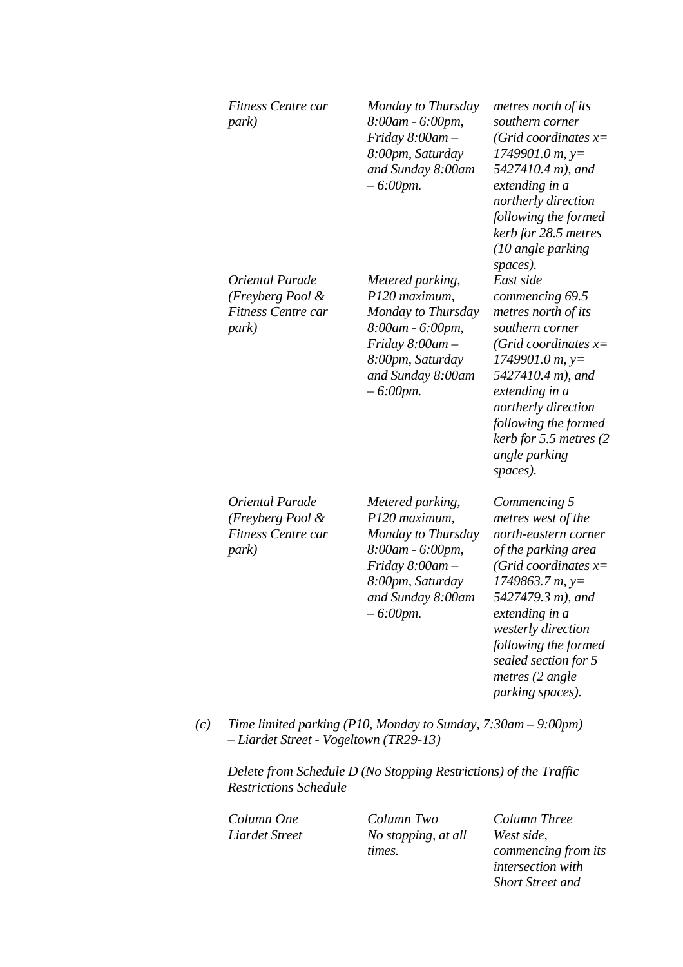|     | Fitness Centre car<br>park)                                                                                  | Monday to Thursday<br>8:00am - 6:00pm,<br>$Friday 8:00am -$<br>8:00pm, Saturday<br>and Sunday 8:00am<br>$-6:00$ pm.                                         | metres north of its<br>southern corner<br>(Grid coordinates $x=$<br>$1749901.0 m$ , y=<br>5427410.4 m), and<br>extending in a<br>northerly direction<br>following the formed<br>kerb for 28.5 metres<br>(10 angle parking                                                             |
|-----|--------------------------------------------------------------------------------------------------------------|-------------------------------------------------------------------------------------------------------------------------------------------------------------|---------------------------------------------------------------------------------------------------------------------------------------------------------------------------------------------------------------------------------------------------------------------------------------|
|     | Oriental Parade<br>(Freyberg Pool &<br><b>Fitness Centre car</b><br>park)                                    | Metered parking,<br>P120 maximum,<br>Monday to Thursday<br>8:00am - 6:00pm,<br>$Friday 8:00am -$<br>8:00pm, Saturday<br>and Sunday 8:00am<br>$-6:00$ pm.    | spaces).<br>East side<br>commencing 69.5<br>metres north of its<br>southern corner<br>(Grid coordinates $x=$<br>$1749901.0 m$ , y=<br>5427410.4 m), and<br>extending in a<br>northerly direction<br>following the formed<br>kerb for 5.5 metres (2<br>angle parking<br>spaces).       |
|     | Oriental Parade<br>(Freyberg Pool &<br>Fitness Centre car<br>park)                                           | Metered parking,<br>P120 maximum,<br>Monday to Thursday<br>8:00am - 6:00pm,<br>Friday $8:00$ am $-$<br>8:00pm, Saturday<br>and Sunday 8:00am<br>$-6:00$ pm. | Commencing 5<br>metres west of the<br>north-eastern corner<br>of the parking area<br>(Grid coordinates $x=$<br>$1749863.7 m$ , y=<br>5427479.3 m), and<br>extending in a<br>westerly direction<br>following the formed<br>sealed section for 5<br>metres (2 angle<br>parking spaces). |
| (c) | Time limited parking (P10, Monday to Sunday, $7:30$ am $-9:00$ pm)<br>- Liardet Street - Vogeltown (TR29-13) |                                                                                                                                                             |                                                                                                                                                                                                                                                                                       |

*Delete from Schedule D (No Stopping Restrictions) of the Traffic Restrictions Schedule* 

*Column One Column Two Column Three Liardet Street No stopping, at all times.*

*West side, commencing from its intersection with Short Street and*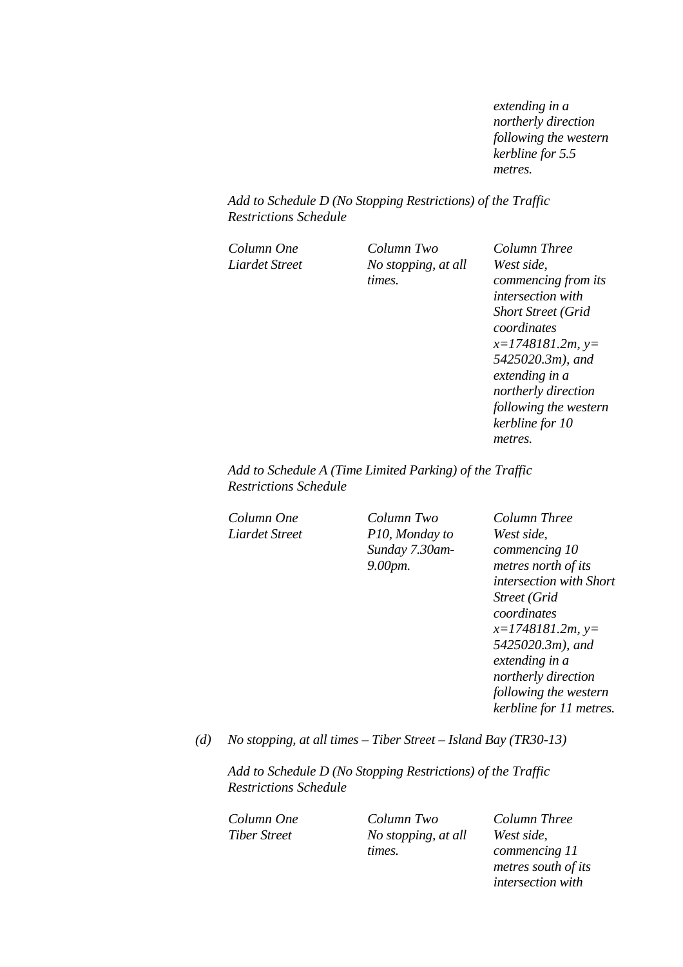*extending in a northerly direction following the western kerbline for 5.5 metres.* 

*Add to Schedule D (No Stopping Restrictions) of the Traffic Restrictions Schedule* 

*Column One Column Two Column Three Liardet Street No stopping, at all times. West side, commencing from its intersection with Short Street (Grid coordinates x=1748181.2m, y= 5425020.3m), and extending in a northerly direction following the western* 

*Add to Schedule A (Time Limited Parking) of the Traffic Restrictions Schedule* 

*Column One Column Two Column Three Liardet Street P10, Monday to Sunday 7.30am-9.00pm.* 

*West side, commencing 10 metres north of its intersection with Short Street (Grid coordinates x=1748181.2m, y= 5425020.3m), and extending in a northerly direction following the western kerbline for 11 metres.*

*kerbline for 10* 

*metres.* 

*(d) No stopping, at all times – Tiber Street – Island Bay (TR30-13)* 

*Add to Schedule D (No Stopping Restrictions) of the Traffic Restrictions Schedule* 

*Column One Column Two Column Three Tiber Street No stopping, at all times.*

*West side, commencing 11 metres south of its intersection with*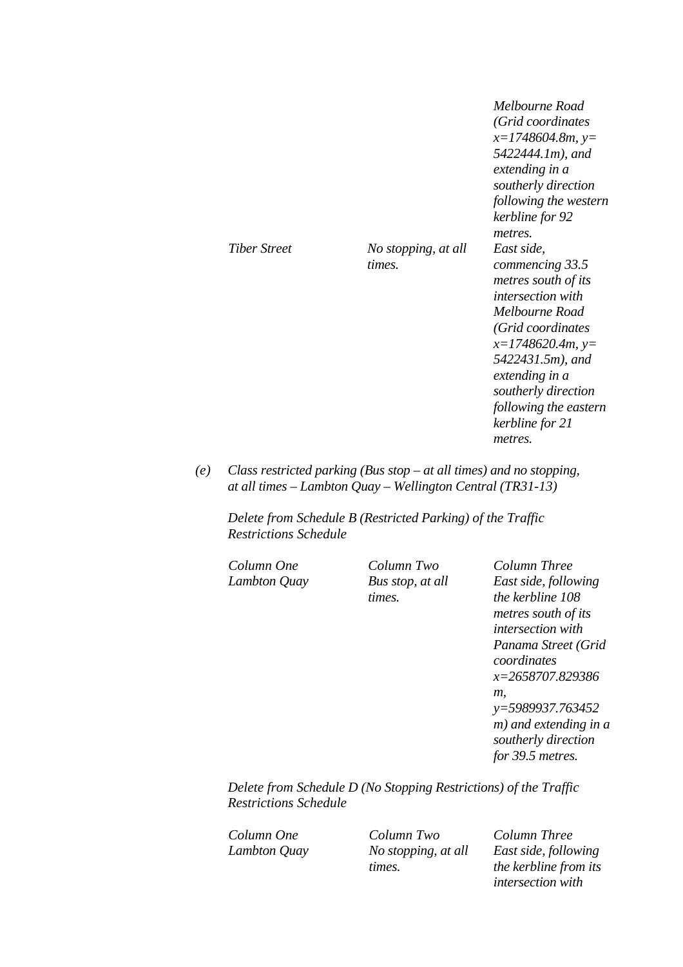|                     |                               | Melbourne Road<br>(Grid coordinates<br>$x=1748604.8m, y=$<br>5422444.1m), and<br>extending in a<br>southerly direction<br>following the western<br>kerbline for 92<br>metres.                                                                                     |
|---------------------|-------------------------------|-------------------------------------------------------------------------------------------------------------------------------------------------------------------------------------------------------------------------------------------------------------------|
| <b>Tiber Street</b> | No stopping, at all<br>times. | East side,<br>commencing 33.5<br>metres south of its<br><i>intersection with</i><br>Melbourne Road<br>(Grid coordinates<br>$x=1748620.4m, y=$<br>5422431.5m), and<br>extending in a<br>southerly direction<br>following the eastern<br>kerbline for 21<br>metres. |

*(e) Class restricted parking (Bus stop – at all times) and no stopping, at all times – Lambton Quay – Wellington Central (TR31-13)* 

*Delete from Schedule B (Restricted Parking) of the Traffic Restrictions Schedule* 

*Column One Column Two Column Three* 

*Lambton Quay Bus stop, at all times.*

*East side, following the kerbline 108 metres south of its intersection with Panama Street (Grid coordinates x=2658707.829386 m, y=5989937.763452 m) and extending in a southerly direction for 39.5 metres.* 

*Delete from Schedule D (No Stopping Restrictions) of the Traffic Restrictions Schedule* 

*Column One Column Two Column Three Lambton Quay No stopping, at all times.*

*East side, following the kerbline from its intersection with*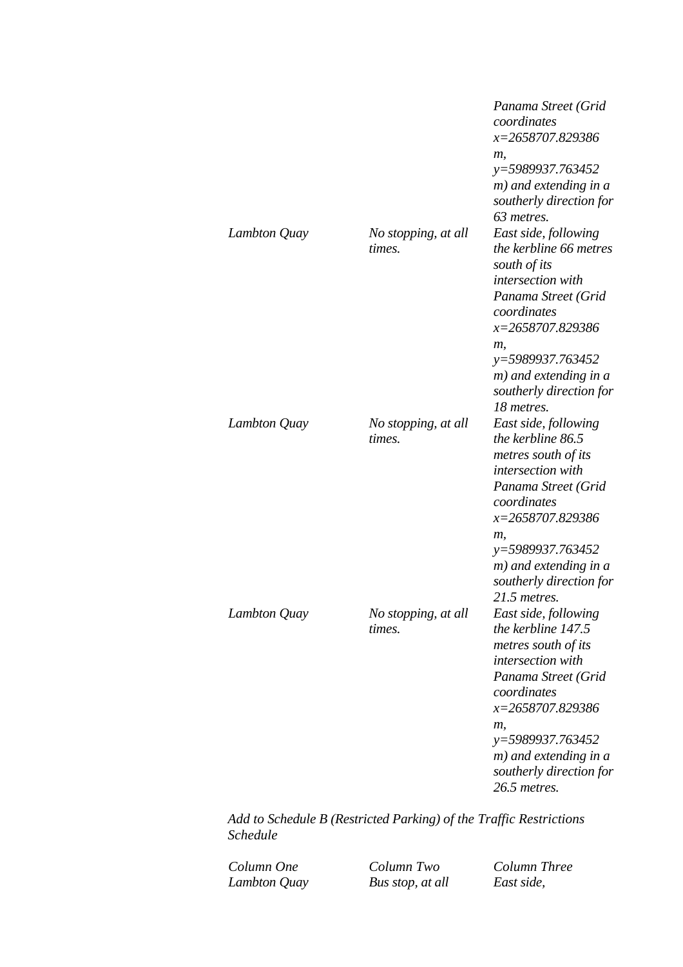|              |                               | Panama Street (Grid<br>coordinates<br>x=2658707.829386<br>т,<br>y=5989937.763452<br>m) and extending in a<br>southerly direction for<br>63 metres.                                                                                                              |
|--------------|-------------------------------|-----------------------------------------------------------------------------------------------------------------------------------------------------------------------------------------------------------------------------------------------------------------|
| Lambton Quay | No stopping, at all<br>times. | East side, following<br>the kerbline 66 metres<br>south of its<br>intersection with<br>Panama Street (Grid<br>coordinates<br>x=2658707.829386<br>m,<br>y=5989937.763452<br>m) and extending in a<br>southerly direction for                                     |
| Lambton Quay | No stopping, at all<br>times. | 18 metres.<br>East side, following<br>the kerbline 86.5<br>metres south of its<br>intersection with<br>Panama Street (Grid<br>coordinates<br>x=2658707.829386<br>т,<br>$y=5989937.763452$<br>$m)$ and extending in a<br>southerly direction for<br>21.5 metres. |
| Lambton Quay | No stopping, at all<br>times. | East side, following<br>the kerbline 147.5<br>metres south of its<br>intersection with<br>Panama Street (Grid<br>coordinates<br>x=2658707.829386<br>m,<br>y=5989937.763452<br>$m)$ and extending in a<br>southerly direction for<br>26.5 metres.                |

*Add to Schedule B (Restricted Parking) of the Traffic Restrictions Schedule* 

*Column One Column Two Column Three* 

*Bus stop, at all*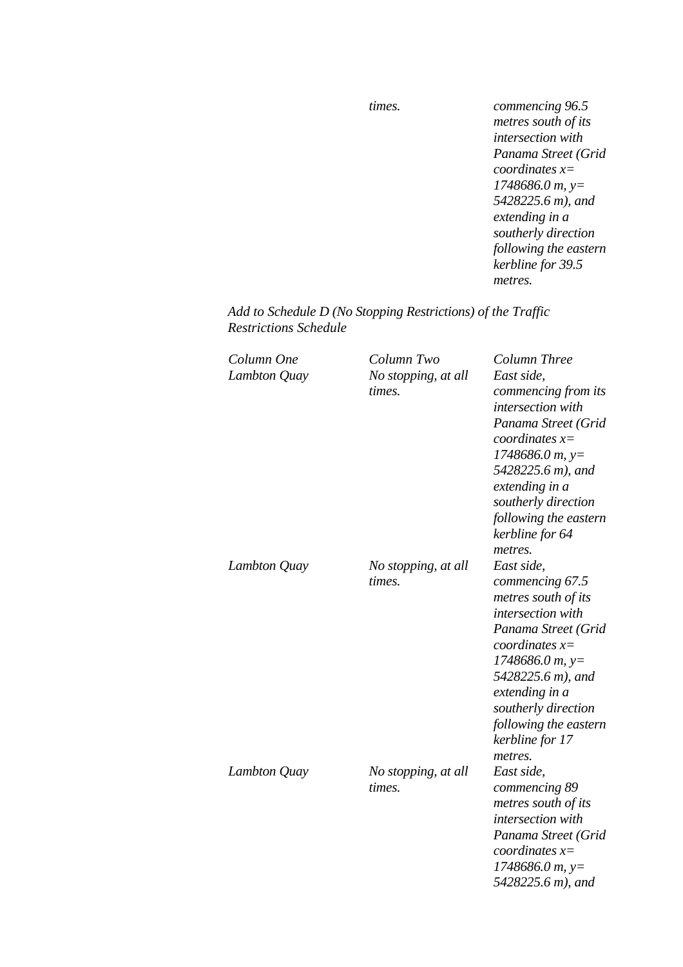*times. commencing 96.5 metres south of its intersection with Panama Street (Grid coordinates x= 1748686.0 m, y= 5428225.6 m), and extending in a southerly direction following the eastern kerbline for 39.5 metres.* 

# *Add to Schedule D (No Stopping Restrictions) of the Traffic Restrictions Schedule*

| Column One<br>Lambton Quay | Column Two<br>No stopping, at all<br>times. | Column Three<br>East side,<br>commencing from its<br>intersection with<br>Panama Street (Grid<br>coordinates $x=$<br>$1748686.0 m$ , y=<br>5428225.6 m), and<br>extending in a<br>southerly direction<br>following the eastern<br>kerbline for 64<br>metres.    |
|----------------------------|---------------------------------------------|-----------------------------------------------------------------------------------------------------------------------------------------------------------------------------------------------------------------------------------------------------------------|
| Lambton Quay               | No stopping, at all<br>times.               | East side,<br>commencing 67.5<br>metres south of its<br>intersection with<br>Panama Street (Grid<br>coordinates $x=$<br>$1748686.0 m$ , y=<br>5428225.6 m), and<br>extending in a<br>southerly direction<br>following the eastern<br>kerbline for 17<br>metres. |
| Lambton Quay               | No stopping, at all<br>times.               | East side,<br>commencing 89<br>metres south of its<br>intersection with<br>Panama Street (Grid<br>coordinates $x=$<br>$1748686.0 m$ , y=<br>5428225.6 m), and                                                                                                   |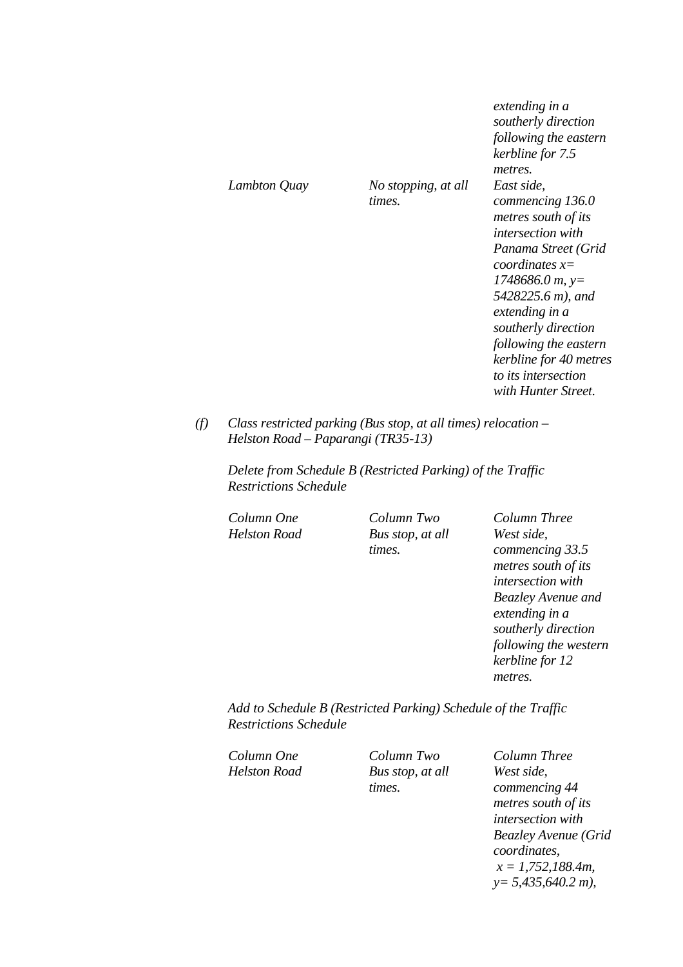|              |                               | extending in a<br>southerly direction<br>following the eastern<br>kerbline for 7.5<br>metres.                                                                                                                                                                                                                     |
|--------------|-------------------------------|-------------------------------------------------------------------------------------------------------------------------------------------------------------------------------------------------------------------------------------------------------------------------------------------------------------------|
| Lambton Quay | No stopping, at all<br>times. | East side,<br>commencing 136.0<br>metres south of its<br><i>intersection with</i><br>Panama Street (Grid<br>coordinates $x=$<br>$1748686.0 m$ , y=<br>5428225.6 m), and<br>extending in a<br>southerly direction<br>following the eastern<br>kerbline for 40 metres<br>to its intersection<br>with Hunter Street. |

*(f) Class restricted parking (Bus stop, at all times) relocation – Helston Road – Paparangi (TR35-13)* 

*Delete from Schedule B (Restricted Parking) of the Traffic Restrictions Schedule* 

*Helston Road Bus stop, at all times.* 

*Column One Column Two Column Three West side, commencing 33.5 metres south of its intersection with Beazley Avenue and extending in a southerly direction following the western kerbline for 12 metres.* 

*Add to Schedule B (Restricted Parking) Schedule of the Traffic Restrictions Schedule* 

*Helston Road Bus stop, at all times.* 

*Column One Column Two Column Three West side, commencing 44 metres south of its intersection with Beazley Avenue (Grid coordinates, x = 1,752,188.4m, y= 5,435,640.2 m),*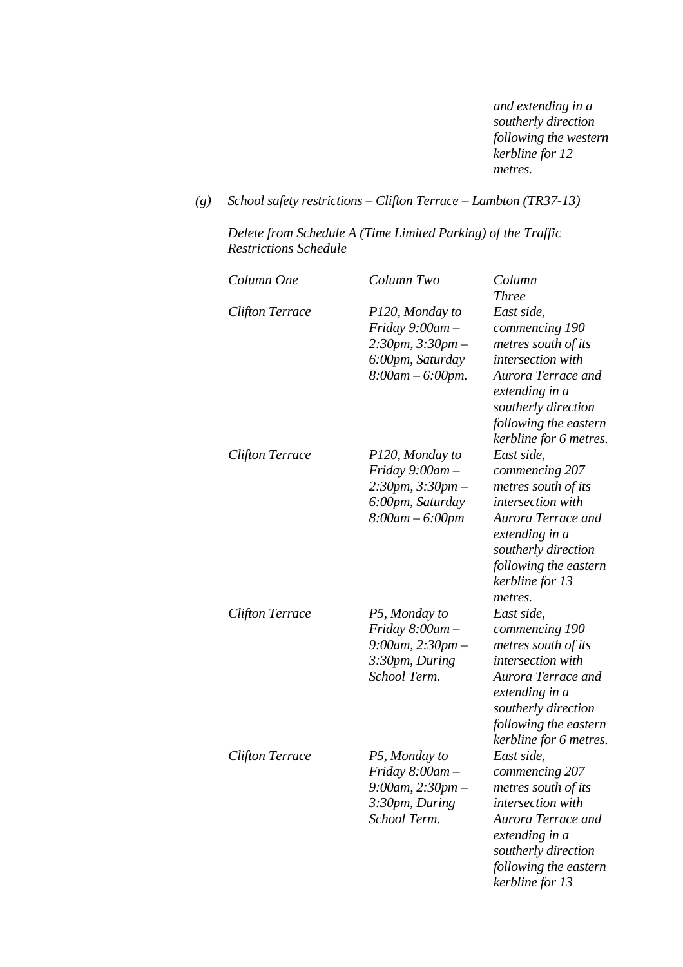*and extending in a southerly direction following the western kerbline for 12 metres.* 

*(g) School safety restrictions – Clifton Terrace – Lambton (TR37-13)* 

*Delete from Schedule A (Time Limited Parking) of the Traffic Restrictions Schedule* 

| Column One             | Column Two                                                                                                 | Column<br><b>Three</b>                                                                                                                                                                         |
|------------------------|------------------------------------------------------------------------------------------------------------|------------------------------------------------------------------------------------------------------------------------------------------------------------------------------------------------|
| <b>Clifton Terrace</b> | P120, Monday to<br>Friday $9:00$ am $-$<br>$2:30pm, 3:30pm -$<br>6:00pm, Saturday<br>$8:00$ am $-6:00$ pm. | East side,<br>commencing 190<br>metres south of its<br>intersection with<br>Aurora Terrace and<br>extending in a<br>southerly direction<br>following the eastern<br>kerbline for 6 metres.     |
| <b>Clifton Terrace</b> | P120, Monday to<br>Friday $9:00$ am $-$<br>$2:30pm, 3:30pm -$<br>6:00pm, Saturday<br>$8:00$ am $-6:00$ pm  | East side,<br>commencing 207<br>metres south of its<br>intersection with<br>Aurora Terrace and<br>extending in a<br>southerly direction<br>following the eastern<br>kerbline for 13<br>metres. |
| <b>Clifton Terrace</b> | P5, Monday to<br>Friday $8:00$ am $-$<br>$9:00$ am, $2:30$ pm –<br>3:30pm, During<br>School Term.          | East side,<br>commencing 190<br>metres south of its<br>intersection with<br>Aurora Terrace and<br>extending in a<br>southerly direction<br>following the eastern<br>kerbline for 6 metres.     |
| <b>Clifton Terrace</b> | P5, Monday to<br>Friday $8:00$ am -<br>$9:00$ am, $2:30$ pm -<br>3:30pm, During<br>School Term.            | East side,<br>commencing 207<br>metres south of its<br><i>intersection</i> with<br>Aurora Terrace and<br>extending in a<br>southerly direction<br>following the eastern<br>kerbline for 13     |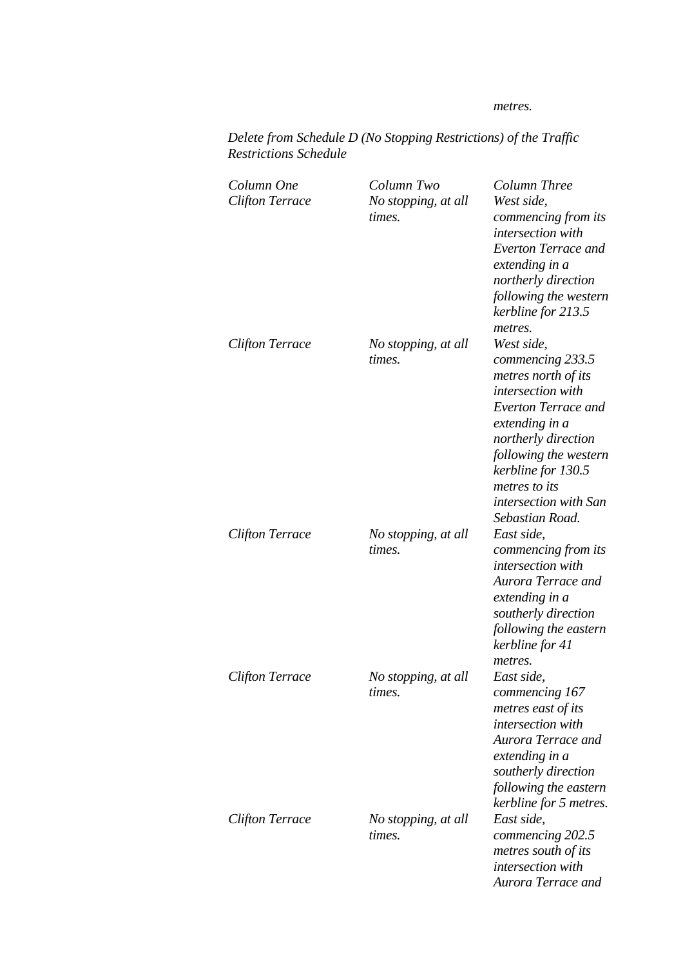#### *metres.*

*Aurora Terrace and* 

| <i><b>Restrictions Schedule</b></i>  |                                             |                                                                                                                                                                                                                                                                                 |
|--------------------------------------|---------------------------------------------|---------------------------------------------------------------------------------------------------------------------------------------------------------------------------------------------------------------------------------------------------------------------------------|
| Column One<br><b>Clifton Terrace</b> | Column Two<br>No stopping, at all<br>times. | Column Three<br>West side,<br>commencing from its<br>intersection with<br><b>Everton Terrace and</b><br>extending in a<br>northerly direction<br>following the western<br>kerbline for 213.5                                                                                    |
| <b>Clifton Terrace</b>               | No stopping, at all<br>times.               | metres.<br>West side,<br>commencing 233.5<br>metres north of its<br>intersection with<br><b>Everton Terrace and</b><br>extending in a<br>northerly direction<br>following the western<br>kerbline for 130.5<br>metres to its<br><i>intersection with San</i><br>Sebastian Road. |
| <b>Clifton Terrace</b>               | No stopping, at all<br>times.               | East side,<br>commencing from its<br>intersection with<br>Aurora Terrace and<br>extending in a<br>southerly direction<br>following the eastern<br>kerbline for 41<br>metres.                                                                                                    |
| <b>Clifton Terrace</b>               | No stopping, at all<br>times.               | East side,<br>commencing 167<br>metres east of its<br>intersection with<br>Aurora Terrace and<br>extending in a<br>southerly direction<br>following the eastern<br>kerbline for 5 metres.                                                                                       |
| <b>Clifton Terrace</b>               | No stopping, at all<br>times.               | East side,<br>commencing 202.5<br>metres south of its<br>intersection with                                                                                                                                                                                                      |

*Delete from Schedule D (No Stopping Restrictions) of the Traffic Restrictions Schedule*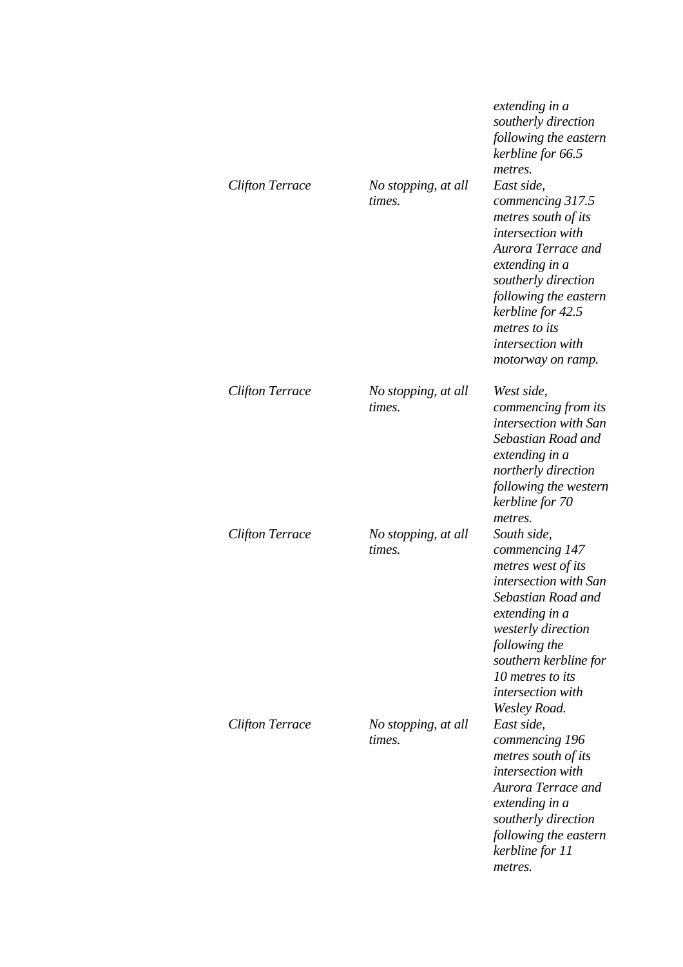|                        |                               | extending in a<br>southerly direction<br>following the eastern<br>kerbline for 66.5<br>metres.                                                                                                                                                            |
|------------------------|-------------------------------|-----------------------------------------------------------------------------------------------------------------------------------------------------------------------------------------------------------------------------------------------------------|
| <b>Clifton Terrace</b> | No stopping, at all<br>times. | East side,<br>commencing 317.5<br>metres south of its<br>intersection with<br>Aurora Terrace and<br>extending in a<br>southerly direction<br>following the eastern<br>kerbline for 42.5<br>metres to its<br><i>intersection</i> with<br>motorway on ramp. |
| <b>Clifton Terrace</b> | No stopping, at all<br>times. | West side,<br>commencing from its<br>intersection with San<br>Sebastian Road and<br>extending in a<br>northerly direction<br>following the western<br>kerbline for 70<br>metres.                                                                          |
| <b>Clifton Terrace</b> | No stopping, at all<br>times. | South side,<br>commencing 147<br>metres west of its<br>intersection with San<br>Sebastian Road and<br>extending in a<br>westerly direction<br>following the<br>southern kerbline for<br>10 metres to its<br><i>intersection with</i><br>Wesley Road.      |
| <b>Clifton Terrace</b> | No stopping, at all<br>times. | East side,<br>commencing 196<br>metres south of its<br>intersection with<br>Aurora Terrace and<br>extending in a<br>southerly direction<br>following the eastern<br>kerbline for 11<br>metres.                                                            |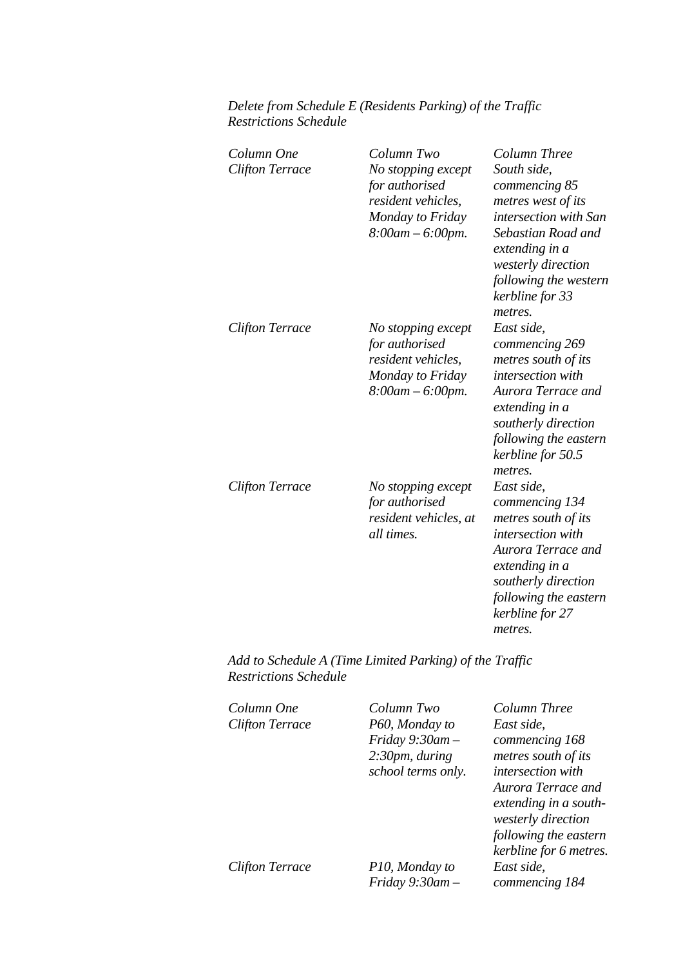# *Delete from Schedule E (Residents Parking) of the Traffic Restrictions Schedule*

| Column One<br><b>Clifton Terrace</b> | Column Two<br>No stopping except<br>for authorised<br>resident vehicles,<br>Monday to Friday<br>$8:00$ am $-6:00$ pm. | Column Three<br>South side,<br>commencing 85<br>metres west of its<br>intersection with San<br>Sebastian Road and<br>extending in a<br>westerly direction<br>following the western<br>kerbline for 33<br>metres. |
|--------------------------------------|-----------------------------------------------------------------------------------------------------------------------|------------------------------------------------------------------------------------------------------------------------------------------------------------------------------------------------------------------|
| Clifton Terrace                      | No stopping except<br>for authorised<br>resident vehicles,<br>Monday to Friday<br>$8:00$ am $-6:00$ pm.               | East side,<br>commencing 269<br>metres south of its<br>intersection with<br>Aurora Terrace and<br>extending in a<br>southerly direction<br>following the eastern<br>kerbline for 50.5<br>metres.                 |
| <b>Clifton Terrace</b>               | No stopping except<br>for authorised<br>resident vehicles, at<br>all times.                                           | East side,<br>commencing 134<br>metres south of its<br>intersection with<br>Aurora Terrace and<br>extending in a<br>southerly direction<br>following the eastern<br>kerbline for 27<br>metres.                   |

*Add to Schedule A (Time Limited Parking) of the Traffic Restrictions Schedule* 

| Column One             | Column Two           | Column Three           |
|------------------------|----------------------|------------------------|
| <b>Clifton Terrace</b> | P60, Monday to       | East side,             |
|                        | Friday $9:30$ am $-$ | commencing 168         |
|                        | 2:30pm, during       | metres south of its    |
|                        | school terms only.   | intersection with      |
|                        |                      | Aurora Terrace and     |
|                        |                      | extending in a south-  |
|                        |                      | westerly direction     |
|                        |                      | following the eastern  |
|                        |                      | kerbline for 6 metres. |
| <b>Clifton Terrace</b> | P10, Monday to       | East side,             |
|                        | $Friday 9:30am -$    | commencing 184         |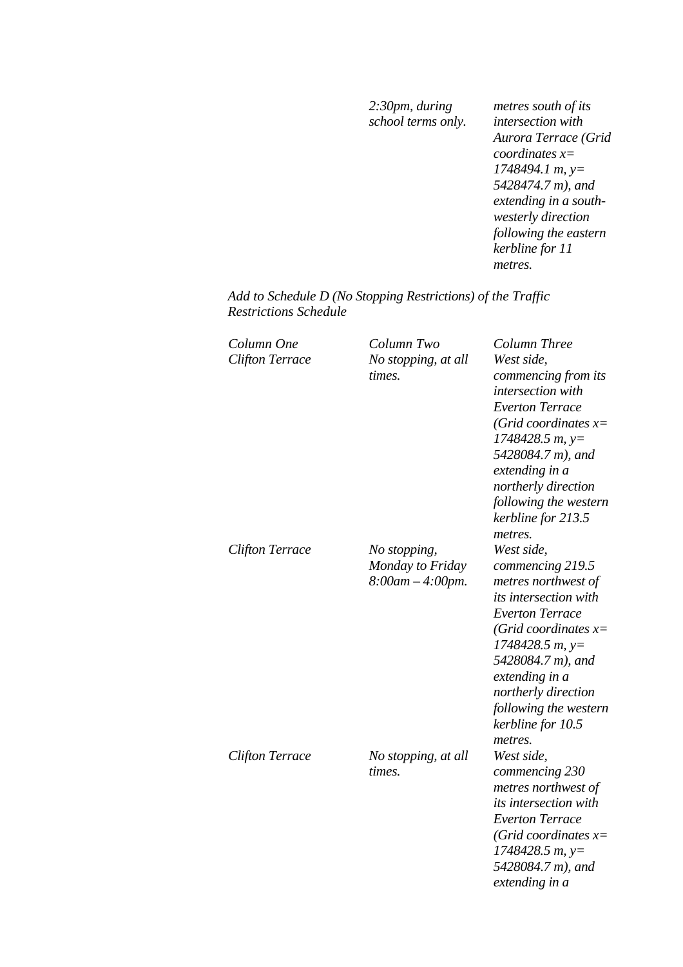*2:30pm, during school terms only.*

*metres south of its intersection with Aurora Terrace (Grid coordinates x= 1748494.1 m, y= 5428474.7 m), and extending in a southwesterly direction following the eastern kerbline for 11 metres.* 

*Add to Schedule D (No Stopping Restrictions) of the Traffic Restrictions Schedule* 

| Column One<br><b>Clifton Terrace</b> | Column Two<br>No stopping, at all<br>times.               | Column Three<br>West side,<br>commencing from its<br>intersection with<br><b>Everton Terrace</b><br>(Grid coordinates $x=$<br>$1748428.5 m$ , y=<br>5428084.7 m), and<br>extending in a<br>northerly direction<br>following the western<br>kerbline for 213.5<br>metres.        |
|--------------------------------------|-----------------------------------------------------------|---------------------------------------------------------------------------------------------------------------------------------------------------------------------------------------------------------------------------------------------------------------------------------|
| <b>Clifton Terrace</b>               | No stopping,<br>Monday to Friday<br>$8:00$ am $-4:00$ pm. | West side,<br>commencing 219.5<br>metres northwest of<br>its intersection with<br><b>Everton Terrace</b><br>(Grid coordinates $x=$<br>$1748428.5 m$ , y=<br>5428084.7 m), and<br>extending in a<br>northerly direction<br>following the western<br>kerbline for 10.5<br>metres. |
| <b>Clifton Terrace</b>               | No stopping, at all<br>times.                             | West side,<br>commencing 230<br>metres northwest of<br>its intersection with<br><b>Everton Terrace</b><br>(Grid coordinates $x=$<br>$1748428.5 m$ , y=<br>5428084.7 m), and<br>extending in a                                                                                   |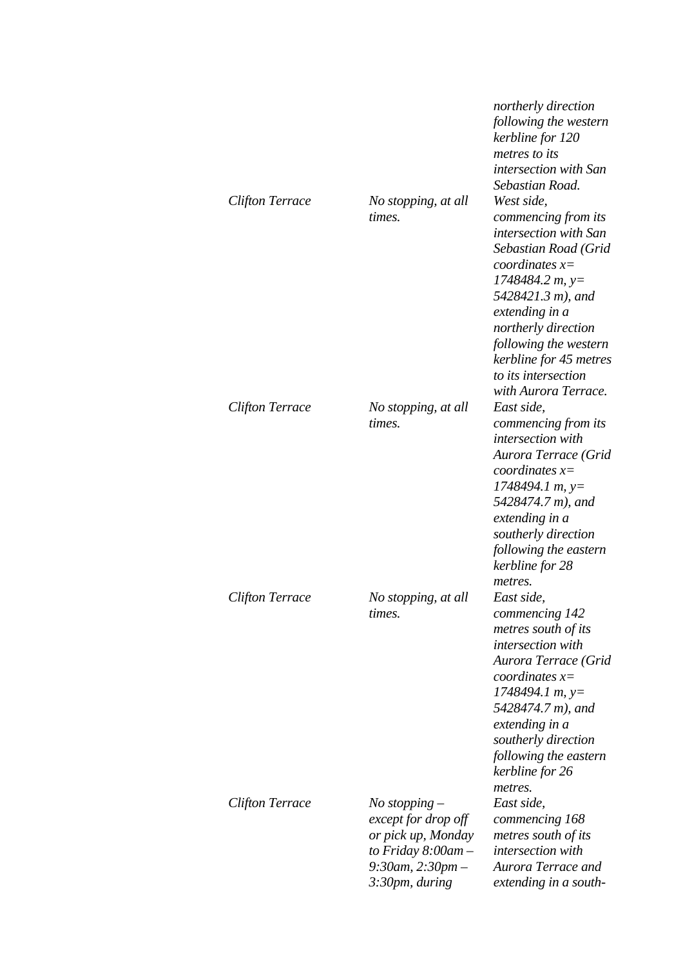|                        |                                                                                                                                       | northerly direction<br>following the western<br>kerbline for 120<br>metres to its<br>intersection with San<br>Sebastian Road.                                                                                                                                                               |
|------------------------|---------------------------------------------------------------------------------------------------------------------------------------|---------------------------------------------------------------------------------------------------------------------------------------------------------------------------------------------------------------------------------------------------------------------------------------------|
| <b>Clifton Terrace</b> | No stopping, at all<br>times.                                                                                                         | West side,<br>commencing from its<br>intersection with San<br>Sebastian Road (Grid<br>coordinates $x=$<br>$1748484.2 m, y=$<br>5428421.3 m), and<br>extending in a<br>northerly direction<br>following the western<br>kerbline for 45 metres<br>to its intersection<br>with Aurora Terrace. |
| <b>Clifton Terrace</b> | No stopping, at all<br>times.                                                                                                         | East side,<br>commencing from its<br>intersection with<br>Aurora Terrace (Grid<br>coordinates $x=$<br>$1748494.1 m, y=$<br>5428474.7 m), and<br>extending in a<br>southerly direction<br>following the eastern<br>kerbline for 28<br>metres.                                                |
| <b>Clifton Terrace</b> | No stopping, at all<br>times.                                                                                                         | East side,<br>commencing 142<br>metres south of its<br>intersection with<br>Aurora Terrace (Grid<br>coordinates $x=$<br>$1748494.1 m, y=$<br>5428474.7 m), and<br>extending in a<br>southerly direction<br>following the eastern<br>kerbline for 26<br>metres.                              |
| <b>Clifton Terrace</b> | $No$ stopping $-$<br>except for drop off<br>or pick up, Monday<br>to Friday $8:00$ am $-$<br>$9:30$ am, $2:30$ pm –<br>3:30pm, during | East side,<br>commencing 168<br>metres south of its<br>intersection with<br>Aurora Terrace and<br>extending in a south-                                                                                                                                                                     |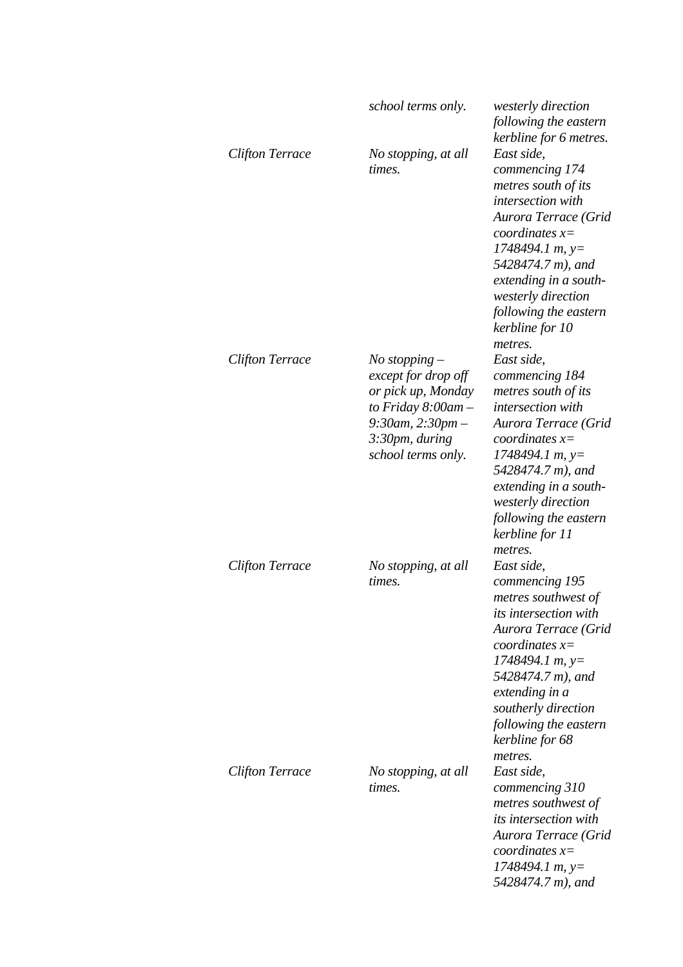|                        | school terms only.                                                                                                                                        | <i>westerly direction</i><br>following the eastern                                                                                                                                                                                                                                              |
|------------------------|-----------------------------------------------------------------------------------------------------------------------------------------------------------|-------------------------------------------------------------------------------------------------------------------------------------------------------------------------------------------------------------------------------------------------------------------------------------------------|
| <b>Clifton Terrace</b> | No stopping, at all<br>times.                                                                                                                             | kerbline for 6 metres.<br>East side,<br>commencing 174<br>metres south of its<br>intersection with<br>Aurora Terrace (Grid<br>coordinates $x=$<br>$1748494.1 m$ , y=<br>5428474.7 m), and<br>extending in a south-<br>westerly direction<br>following the eastern<br>kerbline for 10<br>metres. |
| <b>Clifton Terrace</b> | $No$ stopping $-$<br>except for drop off<br>or pick up, Monday<br>to Friday $8:00$ am -<br>$9:30$ am, $2:30$ pm –<br>3:30pm, during<br>school terms only. | East side.<br>commencing 184<br>metres south of its<br>intersection with<br>Aurora Terrace (Grid<br>coordinates $x=$<br>$1748494.1 m, y=$<br>5428474.7 m), and<br>extending in a south-<br>westerly direction<br>following the eastern<br>kerbline for 11<br>metres.                            |
| <b>Clifton Terrace</b> | No stopping, at all<br>times.                                                                                                                             | East side,<br>commencing 195<br>metres southwest of<br><i>its intersection with</i><br>Aurora Terrace (Grid<br>coordinates $x=$<br>$1748494.1 m$ , y=<br>5428474.7 m), and<br>extending in a<br>southerly direction<br>following the eastern<br>kerbline for 68<br>metres.                      |
| Clifton Terrace        | No stopping, at all<br>times.                                                                                                                             | East side,<br>commencing 310<br>metres southwest of<br><i>its intersection with</i><br>Aurora Terrace (Grid<br>coordinates $x=$<br>$1748494.1 m$ , y=<br>5428474.7 m), and                                                                                                                      |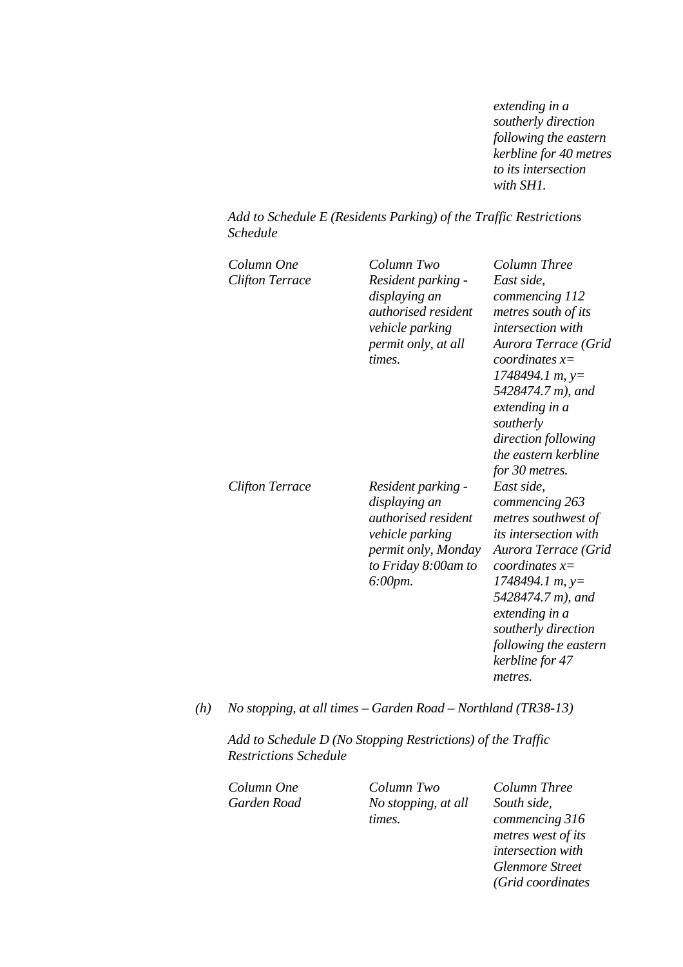*extending in a southerly direction following the eastern kerbline for 40 metres to its intersection with SH1.* 

#### *Add to Schedule E (Residents Parking) of the Traffic Restrictions Schedule*

| Column One<br>Clifton Terrace | Column Two<br>Resident parking -<br>displaying an<br><i>authorised resident</i><br>vehicle parking<br>permit only, at all<br>times.              | Column Three<br>East side,<br>commencing 112<br>metres south of its<br>intersection with<br>Aurora Terrace (Grid<br><i>coordinates</i> $x=$<br>$1748494.1 m$ , y=<br>5428474.7 m), and<br>extending in a<br>southerly<br>direction following<br>the eastern kerbline<br>for 30 metres. |
|-------------------------------|--------------------------------------------------------------------------------------------------------------------------------------------------|----------------------------------------------------------------------------------------------------------------------------------------------------------------------------------------------------------------------------------------------------------------------------------------|
| Clifton Terrace               | Resident parking -<br>displaying an<br><i>authorised resident</i><br>vehicle parking<br>permit only, Monday<br>to Friday 8:00am to<br>$6:00$ pm. | East side,<br>commencing 263<br>metres southwest of<br><i>its intersection with</i><br>Aurora Terrace (Grid<br>coordinates $x=$<br>$1748494.1 m$ , $y=$<br>5428474.7 m), and<br>extending in a<br>southerly direction<br>following the eastern<br>kerbline for 47<br>metres.           |

#### *(h) No stopping, at all times – Garden Road – Northland (TR38-13)*

*Add to Schedule D (No Stopping Restrictions) of the Traffic Restrictions Schedule* 

*Column One Column Two Column Three Garden Road No stopping, at all times.*

*South side, commencing 316 metres west of its intersection with Glenmore Street (Grid coordinates*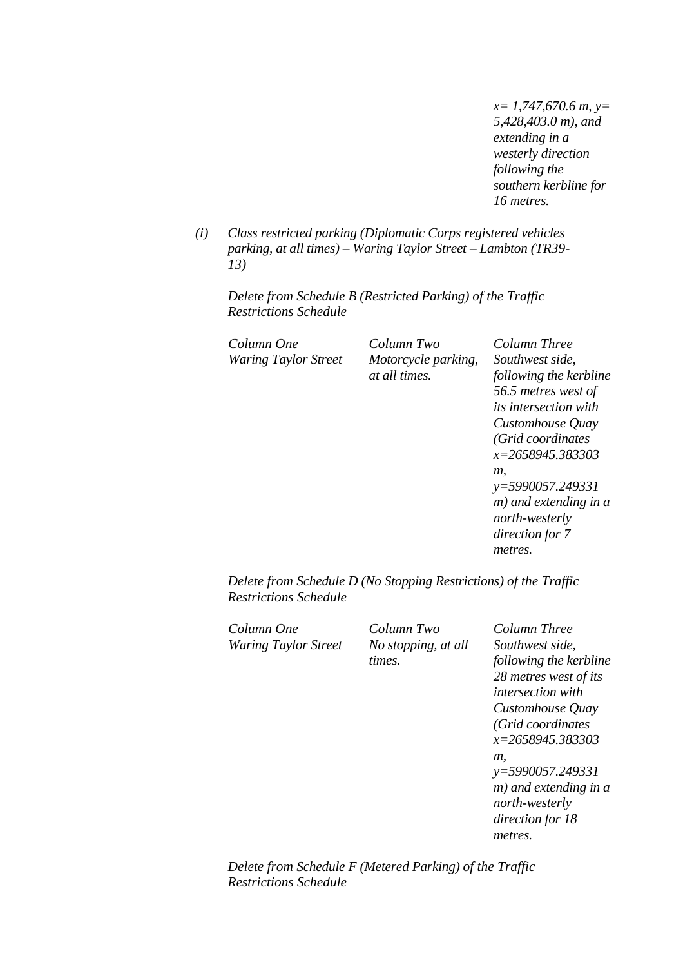*x= 1,747,670.6 m, y= 5,428,403.0 m), and extending in a westerly direction following the southern kerbline for 16 metres.* 

*(i) Class restricted parking (Diplomatic Corps registered vehicles parking, at all times) – Waring Taylor Street – Lambton (TR39- 13)* 

*Delete from Schedule B (Restricted Parking) of the Traffic Restrictions Schedule* 

*Column One Column Two Column Three Waring Taylor Street Motorcycle parking,* 

*at all times.*

*Southwest side, following the kerbline 56.5 metres west of its intersection with Customhouse Quay (Grid coordinates x=2658945.383303 m, y=5990057.249331 m) and extending in a north-westerly direction for 7 metres.* 

*Delete from Schedule D (No Stopping Restrictions) of the Traffic Restrictions Schedule* 

*Column One Column Two Column Three* 

*Waring Taylor Street No stopping, at all times.*

*Southwest side, following the kerbline 28 metres west of its intersection with Customhouse Quay (Grid coordinates x=2658945.383303 m, y=5990057.249331 m) and extending in a north-westerly direction for 18 metres.* 

*Delete from Schedule F (Metered Parking) of the Traffic Restrictions Schedule*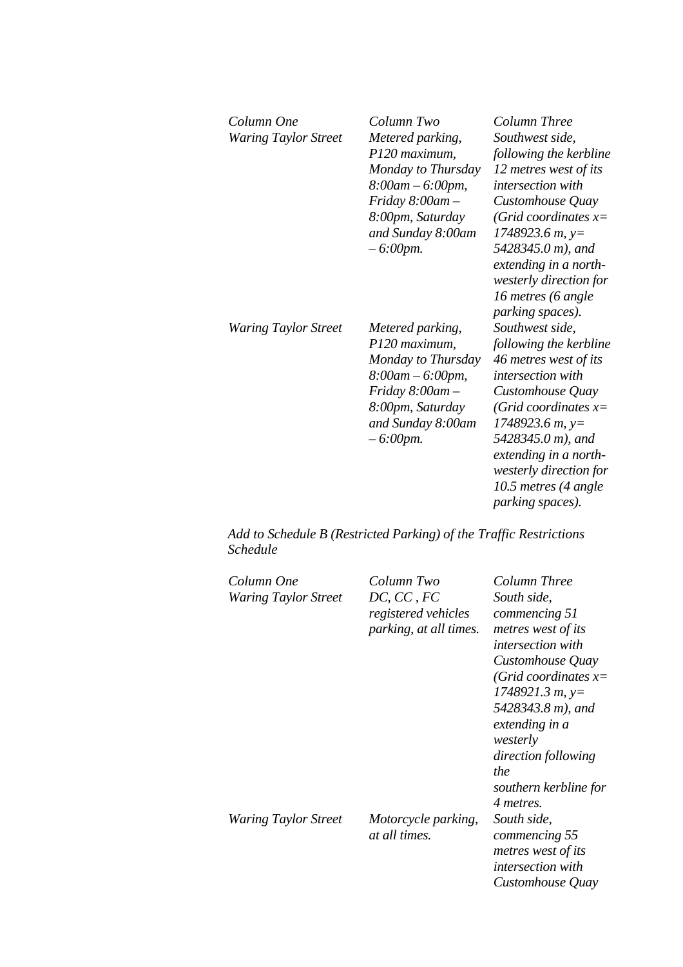| Column One<br><b>Waring Taylor Street</b> | Column Two<br>Metered parking,<br>P120 maximum,<br>Monday to Thursday<br>$8:00am - 6:00pm,$<br>$Friday 8:00am -$<br>8:00pm, Saturday<br>and Sunday 8:00am<br>$-6:00$ pm. | Column Three<br>Southwest side,<br>following the kerbline<br>12 metres west of its<br>intersection with<br>Customhouse Quay<br>(Grid coordinates $x=$<br>$1748923.6 m$ , y=<br>5428345.0 m), and<br>extending in a north-<br>westerly direction for<br>16 metres (6 angle<br><i>parking spaces</i> ). |
|-------------------------------------------|--------------------------------------------------------------------------------------------------------------------------------------------------------------------------|-------------------------------------------------------------------------------------------------------------------------------------------------------------------------------------------------------------------------------------------------------------------------------------------------------|
| <b>Waring Taylor Street</b>               | Metered parking,<br>P120 maximum,<br>Monday to Thursday<br>$8:00$ am $-6:00$ pm,<br>$Friday 8:00am -$<br>8:00pm, Saturday<br>and Sunday 8:00am<br>$-6:00$ pm.            | Southwest side,<br>following the kerbline<br>46 metres west of its<br><i>intersection with</i><br>Customhouse Quay<br>(Grid coordinates $x=$<br>$1748923.6 m$ , y=<br>5428345.0 m), and<br>extending in a north-<br>westerly direction for<br>10.5 metres (4 angle<br>parking spaces).                |

*Add to Schedule B (Restricted Parking) of the Traffic Restrictions Schedule* 

| Column One<br><b>Waring Taylor Street</b> | Column Two<br>DC, CC, FC<br>registered vehicles<br>parking, at all times. | Column Three<br>South side,<br>commencing 51<br>metres west of its<br><i>intersection with</i><br>Customhouse Quay<br>(Grid coordinates $x=$<br>$1748921.3 m, y=$<br>5428343.8 m), and<br>extending in a<br>westerly<br><i>direction following</i><br>the<br>southern kerbline for<br>4 metres. |
|-------------------------------------------|---------------------------------------------------------------------------|-------------------------------------------------------------------------------------------------------------------------------------------------------------------------------------------------------------------------------------------------------------------------------------------------|
| <b>Waring Taylor Street</b>               | Motorcycle parking,<br>at all times.                                      | South side,<br>commencing 55<br>metres west of its<br><i>intersection with</i><br>Customhouse Quay                                                                                                                                                                                              |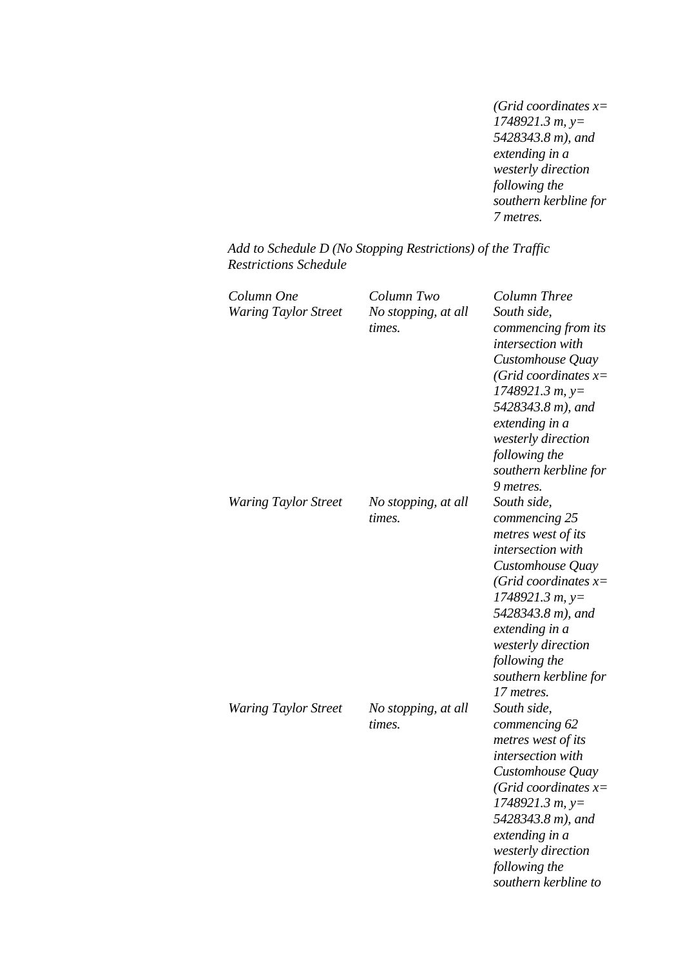*(Grid coordinates x= 1748921.3 m, y= 5428343.8 m), and extending in a westerly direction following the southern kerbline for 7 metres.* 

| Add to Schedule D (No Stopping Restrictions) of the Traffic |  |
|-------------------------------------------------------------|--|
| <b>Restrictions Schedule</b>                                |  |

| Column One                  | Column Two          | Column Three             |
|-----------------------------|---------------------|--------------------------|
| <b>Waring Taylor Street</b> | No stopping, at all | South side,              |
|                             | times.              | commencing from its      |
|                             |                     | <i>intersection</i> with |
|                             |                     | Customhouse Quay         |
|                             |                     | (Grid coordinates $x=$   |
|                             |                     | $1748921.3 m, y=$        |
|                             |                     | 5428343.8 m), and        |
|                             |                     | extending in a           |
|                             |                     | westerly direction       |
|                             |                     | following the            |
|                             |                     | southern kerbline for    |
|                             |                     | 9 metres.                |
| <b>Waring Taylor Street</b> | No stopping, at all | South side,              |
|                             | times.              | commencing 25            |
|                             |                     | metres west of its       |
|                             |                     | intersection with        |
|                             |                     | Customhouse Quay         |
|                             |                     | (Grid coordinates $x=$   |
|                             |                     | $1748921.3 m, y=$        |
|                             |                     | 5428343.8 m), and        |
|                             |                     | extending in a           |
|                             |                     | westerly direction       |
|                             |                     | following the            |
|                             |                     | southern kerbline for    |
|                             |                     | 17 metres.               |
| <b>Waring Taylor Street</b> | No stopping, at all | South side,              |
|                             | times.              | commencing 62            |
|                             |                     | metres west of its       |
|                             |                     | intersection with        |
|                             |                     | Customhouse Quay         |
|                             |                     | (Grid coordinates x=     |
|                             |                     | 1748921.3 m, y=          |
|                             |                     | 5428343.8 m), and        |
|                             |                     | extending in a           |
|                             |                     | westerly direction       |
|                             |                     | following the            |
|                             |                     | southern kerbline to     |
|                             |                     |                          |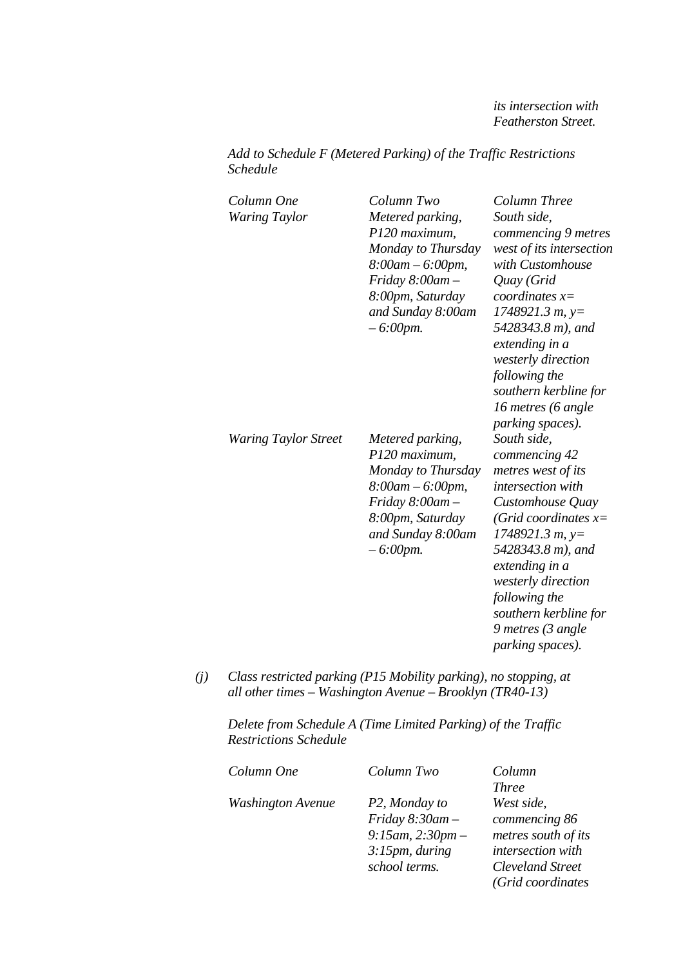*its intersection with Featherston Street.* 

*Add to Schedule F (Metered Parking) of the Traffic Restrictions Schedule* 

| Column One<br><b>Waring Taylor</b> | Column Two<br>Metered parking,<br>P120 maximum,<br>Monday to Thursday<br>$8:00am - 6:00pm,$<br>Friday 8:00am-<br>8:00pm, Saturday<br>and Sunday 8:00am<br>$-6:00$ pm. | Column Three<br>South side,<br>commencing 9 metres<br>west of its intersection<br>with Customhouse<br>Quay (Grid<br>coordinates $x=$<br>$1748921.3 m, y=$<br>5428343.8 m), and<br>extending in a<br>westerly direction<br>following the<br>southern kerbline for<br>16 metres (6 angle<br><i>parking spaces</i> ). |
|------------------------------------|-----------------------------------------------------------------------------------------------------------------------------------------------------------------------|--------------------------------------------------------------------------------------------------------------------------------------------------------------------------------------------------------------------------------------------------------------------------------------------------------------------|
| <b>Waring Taylor Street</b>        | Metered parking,<br>P120 maximum,<br>Monday to Thursday<br>$8:00am - 6:00pm,$<br>Friday $8:00$ am $-$<br>8:00pm, Saturday<br>and Sunday 8:00am<br>$-6:00$ pm.         | South side,<br>commencing 42<br>metres west of its<br>intersection with<br>Customhouse Quay<br>(Grid coordinates $x=$<br>$1748921.3 m, y=$<br>5428343.8 m), and<br>extending in a<br>westerly direction<br>following the<br>southern kerbline for<br>9 metres (3 angle<br><i>parking spaces).</i>                  |

*(j) Class restricted parking (P15 Mobility parking), no stopping, at all other times – Washington Avenue – Brooklyn (TR40-13)* 

*Delete from Schedule A (Time Limited Parking) of the Traffic Restrictions Schedule* 

| Column One               | Column Two             | Column                  |
|--------------------------|------------------------|-------------------------|
|                          |                        | <i>Three</i>            |
| <b>Washington Avenue</b> | P2, Monday to          | West side,              |
|                          | Friday $8:30$ am -     | commencing 86           |
|                          | $9:15$ am, $2:30$ pm – | metres south of its     |
|                          | 3:15pm, during         | intersection with       |
|                          | school terms.          | <b>Cleveland Street</b> |
|                          |                        | (Grid coordinates       |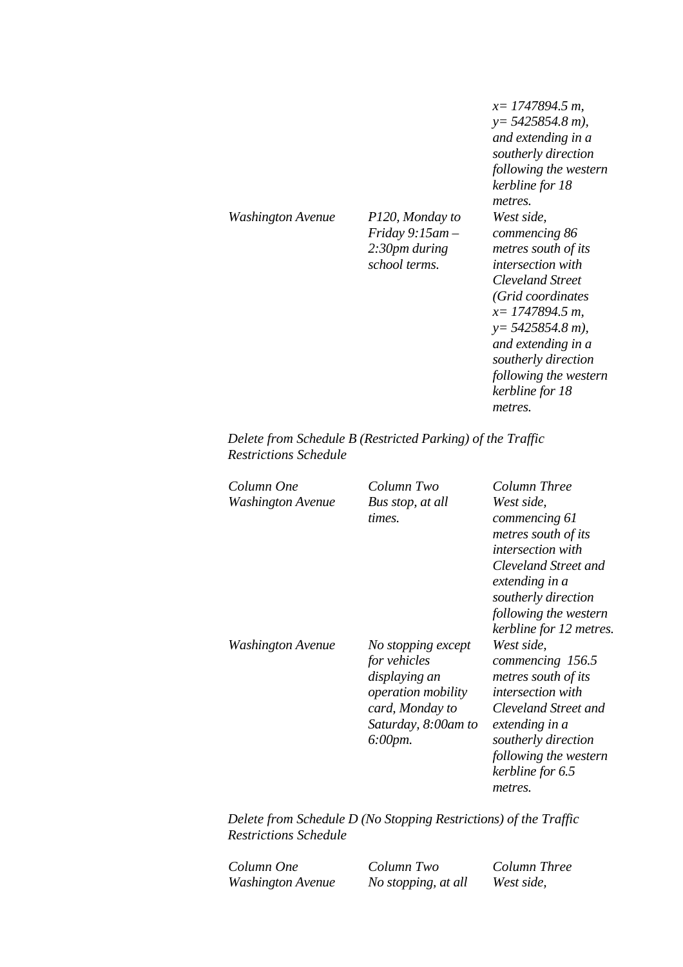*Washington Avenue P120, Monday to* 

*Friday 9:15am – 2:30pm during school terms.*

*x= 1747894.5 m, y= 5425854.8 m), and extending in a southerly direction following the western kerbline for 18 metres. West side, commencing 86 metres south of its intersection with Cleveland Street (Grid coordinates x= 1747894.5 m, y= 5425854.8 m), and extending in a southerly direction following the western kerbline for 18 metres.* 

*Delete from Schedule B (Restricted Parking) of the Traffic Restrictions Schedule* 

| Column One        | Column Two           | Column Three                           |
|-------------------|----------------------|----------------------------------------|
| Washington Avenue | Bus stop, at all     | West side,                             |
|                   | times.               | commencing 61<br>metres south of its   |
|                   |                      | <i>intersection with</i>               |
|                   |                      | Cleveland Street and<br>extending in a |
|                   |                      | southerly direction                    |
|                   |                      | following the western                  |
|                   |                      | kerbline for 12 metres.                |
| Washington Avenue | No stopping except   | West side,                             |
|                   | for vehicles         | commencing 156.5                       |
|                   | displaying an        | metres south of its                    |
|                   | operation mobility   | <i>intersection</i> with               |
|                   | card, Monday to      | Cleveland Street and                   |
|                   | Saturday, 8:00am to  | extending in a                         |
|                   | $6:00 \, \text{pm}.$ | southerly direction                    |
|                   |                      | following the western                  |
|                   |                      | kerbline for 6.5                       |
|                   |                      | metres.                                |

*Delete from Schedule D (No Stopping Restrictions) of the Traffic Restrictions Schedule* 

*Column One Column Two Column Three Washington Avenue No stopping, at all West side,*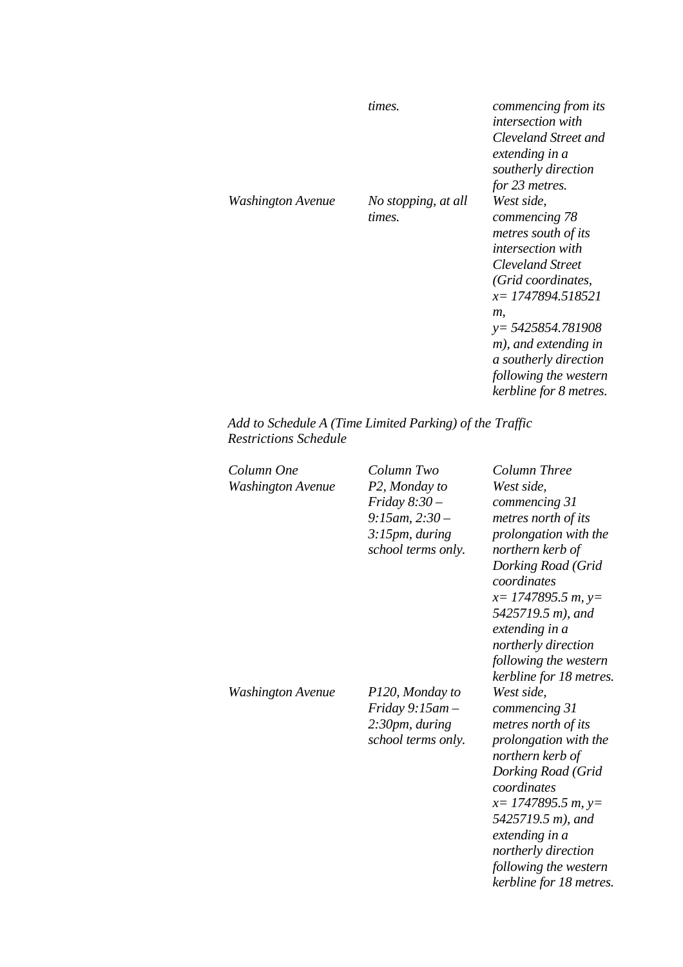|                   | times.                        | commencing from its<br><i>intersection with</i><br>Cleveland Street and<br>extending in a<br>southerly direction<br>for 23 metres.                                                                                                                                                      |
|-------------------|-------------------------------|-----------------------------------------------------------------------------------------------------------------------------------------------------------------------------------------------------------------------------------------------------------------------------------------|
| Washington Avenue | No stopping, at all<br>times. | West side,<br>commencing 78<br>metres south of its<br><i>intersection with</i><br><b>Cleveland Street</b><br>(Grid coordinates,<br>x = 1747894.518521<br>т.<br>$y = 5425854.781908$<br>m), and extending in<br>a southerly direction<br>following the western<br>kerbline for 8 metres. |

*Add to Schedule A (Time Limited Parking) of the Traffic Restrictions Schedule* 

| Column One<br><b>Washington Avenue</b> | Column Two<br>P2, Monday to<br>Friday $8:30-$<br>$9:15$ am, $2:30-$<br>3:15pm, during<br>school terms only. | Column Three<br>West side,<br>commencing 31<br>metres north of its<br>prolongation with the<br>northern kerb of<br>Dorking Road (Grid<br>coordinates<br>$x=$ 1747895.5 m, y=<br>5425719.5 m), and<br>extending in a<br>northerly direction<br>following the western<br>kerbline for 18 metres. |
|----------------------------------------|-------------------------------------------------------------------------------------------------------------|------------------------------------------------------------------------------------------------------------------------------------------------------------------------------------------------------------------------------------------------------------------------------------------------|
| Washington Avenue                      | P120, Monday to<br>Friday $9:15$ am $-$<br>2:30pm, during<br>school terms only.                             | West side,<br>commencing 31<br>metres north of its<br>prolongation with the<br>northern kerb of<br>Dorking Road (Grid<br>coordinates<br>$x=$ 1747895.5 m, y=<br>5425719.5 m), and<br>extending in a<br>northerly direction<br>following the western<br>kerbline for 18 metres.                 |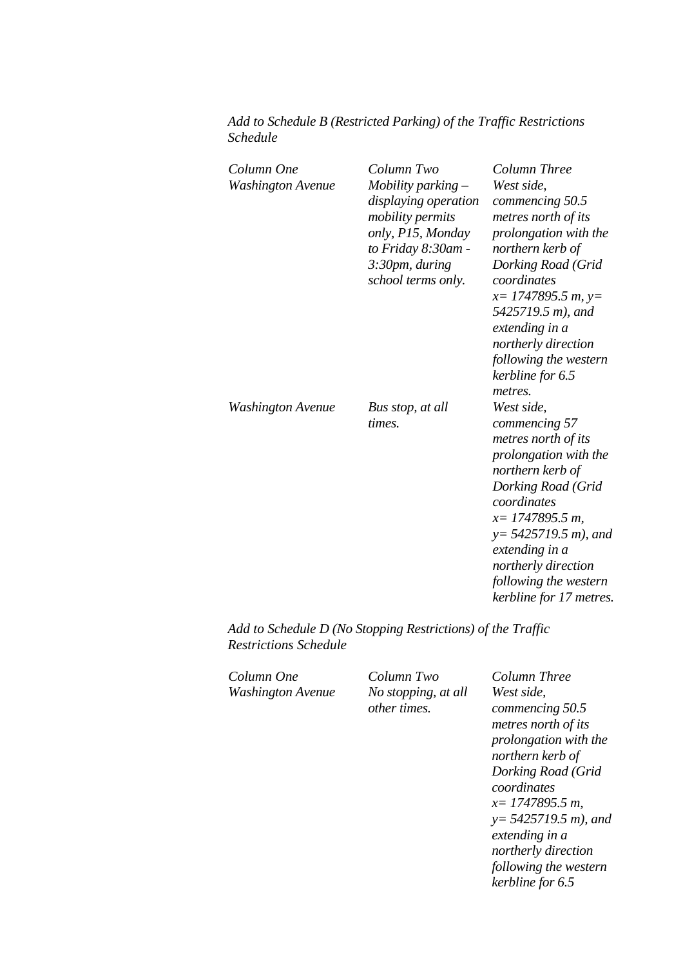| Add to Schedule B (Restricted Parking) of the Traffic Restrictions |  |  |
|--------------------------------------------------------------------|--|--|
| Schedule                                                           |  |  |

| Column One<br>Washington Avenue | Column Two<br>Mobility parking $-$<br>displaying operation<br>mobility permits<br>only, P15, Monday<br>to Friday 8:30am -<br>3:30pm, during<br>school terms only. | Column Three<br>West side,<br>commencing 50.5<br>metres north of its<br>prolongation with the<br>northern kerb of<br>Dorking Road (Grid<br>coordinates<br>$x=$ 1747895.5 m, y=<br>5425719.5 m), and<br>extending in a<br>northerly direction<br>following the western<br>kerbline for 6.5   |
|---------------------------------|-------------------------------------------------------------------------------------------------------------------------------------------------------------------|---------------------------------------------------------------------------------------------------------------------------------------------------------------------------------------------------------------------------------------------------------------------------------------------|
| Washington Avenue               | Bus stop, at all<br>times.                                                                                                                                        | metres.<br>West side,<br>commencing 57<br>metres north of its<br>prolongation with the<br>northern kerb of<br>Dorking Road (Grid<br>coordinates<br>$x=$ 1747895.5 m,<br>$y=$ 5425719.5 m), and<br>extending in a<br>northerly direction<br>following the western<br>kerbline for 17 metres. |

*Add to Schedule D (No Stopping Restrictions) of the Traffic Restrictions Schedule* 

*Column One Column Two Column Three Washington Avenue No stopping, at all* 

*other times.*

*West side, commencing 50.5 metres north of its prolongation with the northern kerb of Dorking Road (Grid coordinates x= 1747895.5 m, y= 5425719.5 m), and extending in a northerly direction following the western kerbline for 6.5*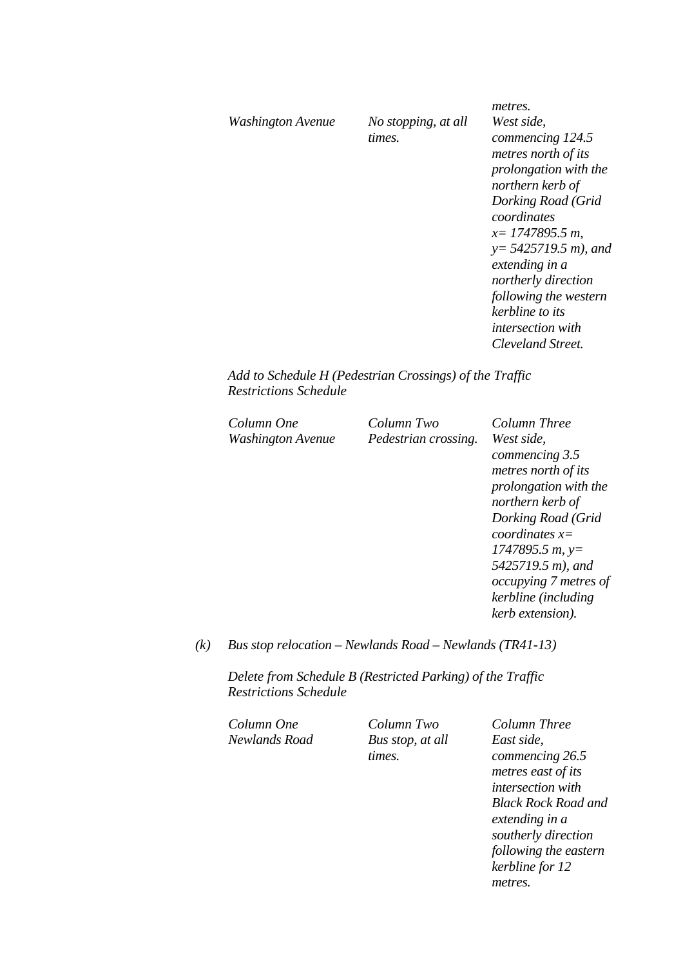|                   |                     | metres.                  |
|-------------------|---------------------|--------------------------|
| Washington Avenue | No stopping, at all | West side,               |
|                   | times.              | commencing 124.5         |
|                   |                     | metres north of its      |
|                   |                     | prolongation with the    |
|                   |                     | northern kerb of         |
|                   |                     | Dorking Road (Grid       |
|                   |                     | coordinates              |
|                   |                     | $x=$ 1747895.5 m,        |
|                   |                     | $y=$ 5425719.5 m), and   |
|                   |                     | extending in a           |
|                   |                     | northerly direction      |
|                   |                     | following the western    |
|                   |                     | kerbline to its          |
|                   |                     | <i>intersection with</i> |
|                   |                     | Cleveland Street.        |
|                   |                     |                          |

*Add to Schedule H (Pedestrian Crossings) of the Traffic Restrictions Schedule* 

| Column One<br>Washington Avenue | Column Two<br>Pedestrian crossing. | Column Three<br>West side.<br>commencing 3.5<br>metres north of its<br>prolongation with the<br>northern kerb of<br>Dorking Road (Grid<br>coordinates $x=$<br>$1747895.5 m$ , y=<br>5425719.5 m), and<br>occupying 7 metres of |
|---------------------------------|------------------------------------|--------------------------------------------------------------------------------------------------------------------------------------------------------------------------------------------------------------------------------|
|                                 |                                    | kerbline (including<br>kerb extension).                                                                                                                                                                                        |

*(k) Bus stop relocation – Newlands Road – Newlands (TR41-13)* 

*Delete from Schedule B (Restricted Parking) of the Traffic Restrictions Schedule* 

*Column One Column Two Column Three Newlands Road Bus stop, at all* 

*times.*

*East side, commencing 26.5 metres east of its intersection with Black Rock Road and extending in a southerly direction following the eastern kerbline for 12 metres.*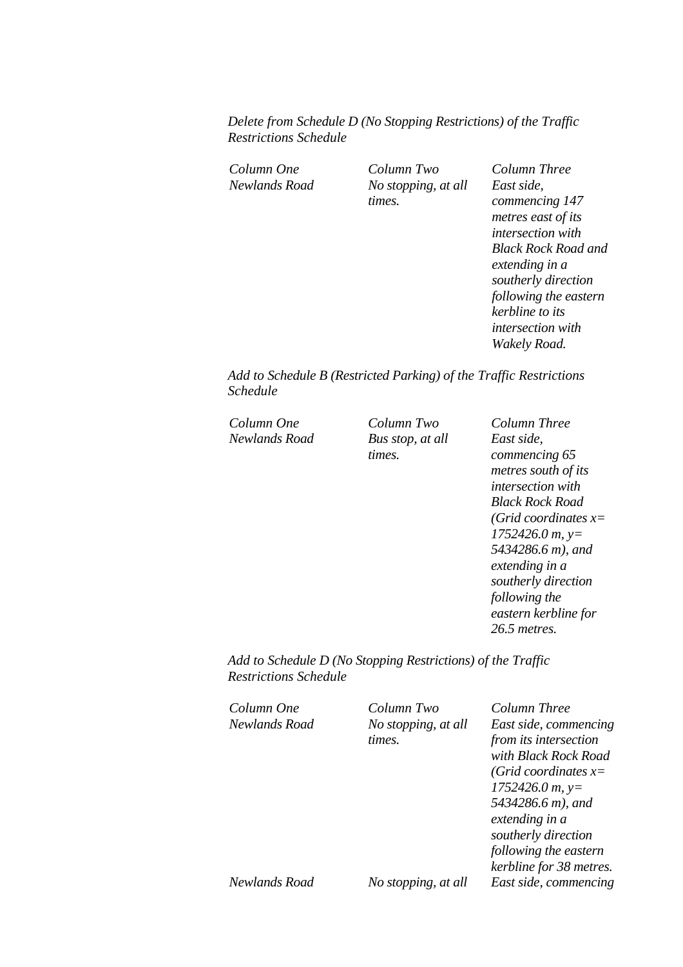*Delete from Schedule D (No Stopping Restrictions) of the Traffic Restrictions Schedule* 

*Column One Column Two Column Three Newlands Road No stopping, at all times.*

*East side, commencing 147 metres east of its intersection with Black Rock Road and extending in a southerly direction following the eastern kerbline to its intersection with Wakely Road.* 

*Add to Schedule B (Restricted Parking) of the Traffic Restrictions Schedule* 

*Column One Column Two Column Three Newlands Road Bus stop, at all* 

*times.*

*East side, commencing 65 metres south of its intersection with Black Rock Road (Grid coordinates x= 1752426.0 m, y= 5434286.6 m), and extending in a southerly direction following the eastern kerbline for 26.5 metres.* 

*Add to Schedule D (No Stopping Restrictions) of the Traffic Restrictions Schedule* 

| Column One    | Column Two          | Column Three            |
|---------------|---------------------|-------------------------|
| Newlands Road | No stopping, at all | East side, commencing   |
|               | times.              | from its intersection   |
|               |                     | with Black Rock Road    |
|               |                     | (Grid coordinates $x=$  |
|               |                     | $1752426.0 m$ , y=      |
|               |                     | 5434286.6 m), and       |
|               |                     | extending in a          |
|               |                     | southerly direction     |
|               |                     | following the eastern   |
|               |                     | kerbline for 38 metres. |
| Newlands Road | No stopping, at all | East side, commencing   |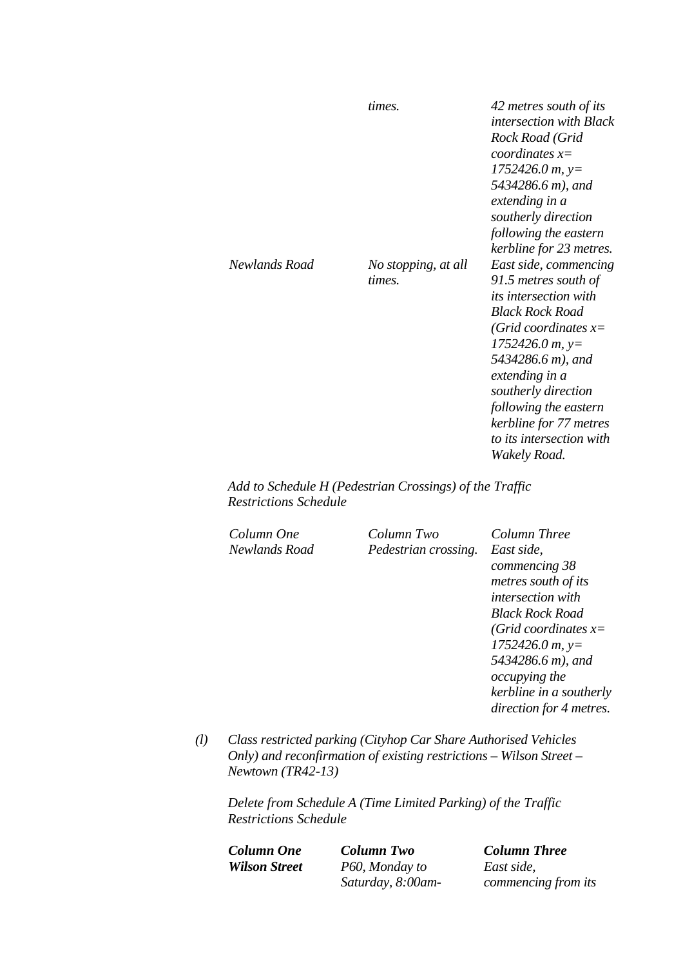|                            | times.              | 42 metres south of its<br><i>intersection with Black</i><br>Rock Road (Grid |
|----------------------------|---------------------|-----------------------------------------------------------------------------|
|                            |                     | coordinates $x=$                                                            |
|                            |                     | $1752426.0 m$ , y=                                                          |
|                            |                     | 5434286.6 m), and                                                           |
|                            |                     | extending in a                                                              |
|                            |                     | southerly direction                                                         |
|                            |                     | following the eastern                                                       |
|                            |                     | kerbline for 23 metres.                                                     |
| Newlands Road              | No stopping, at all | East side, commencing                                                       |
|                            | times.              | 91.5 metres south of                                                        |
|                            |                     | <i>its intersection with</i>                                                |
|                            |                     | <b>Black Rock Road</b>                                                      |
|                            |                     | (Grid coordinates $x=$                                                      |
|                            |                     | $1752426.0 m$ , y=                                                          |
|                            |                     | 5434286.6 m), and<br>extending in a                                         |
|                            |                     | southerly direction                                                         |
|                            |                     | following the eastern                                                       |
|                            |                     | kerbline for 77 metres                                                      |
|                            |                     | to its intersection with                                                    |
|                            |                     | Wakely Road.                                                                |
| $\alpha$ $\alpha$<br>TT/ D | $\sim$              | $c_{\perp}$ $\pi$                                                           |

*Add to Schedule H (Pedestrian Crossings) of the Traffic Restrictions Schedule* 

*Column One Column Two Column Three Newlands Road Pedestrian crossing. East side,* 

*commencing 38 metres south of its intersection with Black Rock Road (Grid coordinates x= 1752426.0 m, y= 5434286.6 m), and occupying the kerbline in a southerly direction for 4 metres.* 

*(l) Class restricted parking (Cityhop Car Share Authorised Vehicles Only) and reconfirmation of existing restrictions – Wilson Street – Newtown (TR42-13)* 

*Delete from Schedule A (Time Limited Parking) of the Traffic Restrictions Schedule* 

*Column One Column Two Column Three Wilson Street P60, Monday to Saturday, 8:00am-*

*East side, commencing from its*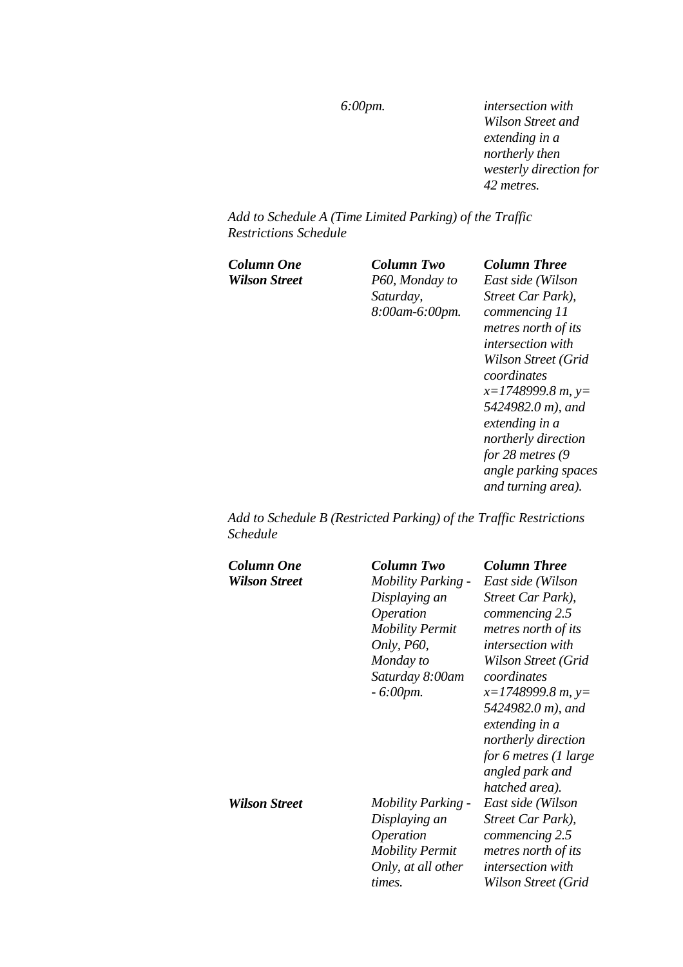*6:00pm. intersection with Wilson Street and extending in a northerly then westerly direction for 42 metres.* 

*Add to Schedule A (Time Limited Parking) of the Traffic Restrictions Schedule* 

*Column One Column Two Column Three Wilson Street P60, Monday to Saturday, 8:00am-6:00pm.*

*East side (Wilson Street Car Park), commencing 11 metres north of its intersection with Wilson Street (Grid coordinates x=1748999.8 m, y= 5424982.0 m), and extending in a northerly direction for 28 metres (9 angle parking spaces and turning area).* 

*Add to Schedule B (Restricted Parking) of the Traffic Restrictions Schedule* 

| Column One           | Column Two                 | <b>Column Three</b>      |
|----------------------|----------------------------|--------------------------|
| <b>Wilson Street</b> | <b>Mobility Parking -</b>  | East side (Wilson        |
|                      | Displaying an              | Street Car Park),        |
|                      | Operation                  | commencing 2.5           |
|                      | <b>Mobility Permit</b>     | metres north of its      |
|                      | <i>Only</i> , <i>P60</i> , | <i>intersection</i> with |
|                      | Monday to                  | Wilson Street (Grid      |
|                      | Saturday 8:00am            | coordinates              |
|                      | $-6:00$ pm.                | $x=1748999.8 m, y=$      |
|                      |                            | 5424982.0 m), and        |
|                      |                            | extending in a           |
|                      |                            | northerly direction      |
|                      |                            | for 6 metres (1 large    |
|                      |                            | angled park and          |
|                      |                            | hatched area).           |
| <b>Wilson Street</b> | <i>Mobility Parking -</i>  | East side (Wilson        |
|                      | Displaying an              | Street Car Park),        |
|                      | <i><b>Operation</b></i>    | commencing 2.5           |
|                      | <b>Mobility Permit</b>     | metres north of its      |
|                      | Only, at all other         | <i>intersection</i> with |
|                      | times.                     | Wilson Street (Grid      |
|                      |                            |                          |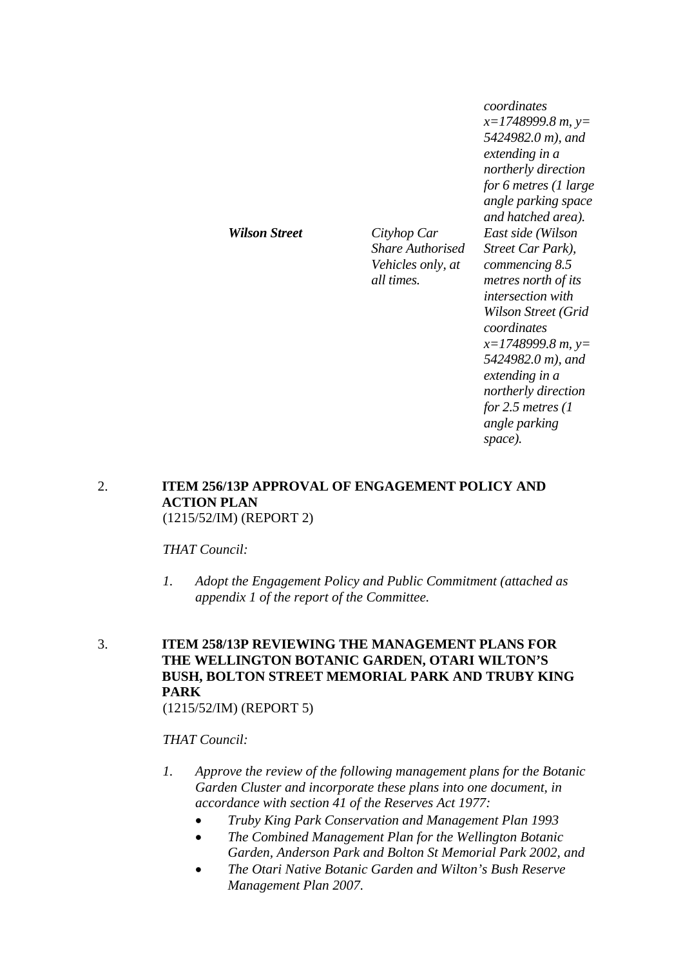*coordinates x=1748999.8 m, y= 5424982.0 m), and extending in a northerly direction for 6 metres (1 large angle parking space and hatched area). East side (Wilson Street Car Park), commencing 8.5 metres north of its intersection with Wilson Street (Grid coordinates x=1748999.8 m, y= 5424982.0 m), and extending in a northerly direction for 2.5 metres (1 angle parking space).* 

### 2. **ITEM 256/13P APPROVAL OF ENGAGEMENT POLICY AND ACTION PLAN** (1215/52/IM) (REPORT 2)

*Wilson Street Cityhop Car* 

*Share Authorised Vehicles only, at* 

*all times.*

*THAT Council:* 

- *1. Adopt the Engagement Policy and Public Commitment (attached as appendix 1 of the report of the Committee.*
- 3. **ITEM 258/13P REVIEWING THE MANAGEMENT PLANS FOR THE WELLINGTON BOTANIC GARDEN, OTARI WILTON'S BUSH, BOLTON STREET MEMORIAL PARK AND TRUBY KING PARK**

(1215/52/IM) (REPORT 5)

### *THAT Council:*

- *1. Approve the review of the following management plans for the Botanic Garden Cluster and incorporate these plans into one document, in accordance with section 41 of the Reserves Act 1977:* 
	- *Truby King Park Conservation and Management Plan 1993*
	- *The Combined Management Plan for the Wellington Botanic Garden, Anderson Park and Bolton St Memorial Park 2002, and*
	- *The Otari Native Botanic Garden and Wilton's Bush Reserve Management Plan 2007.*